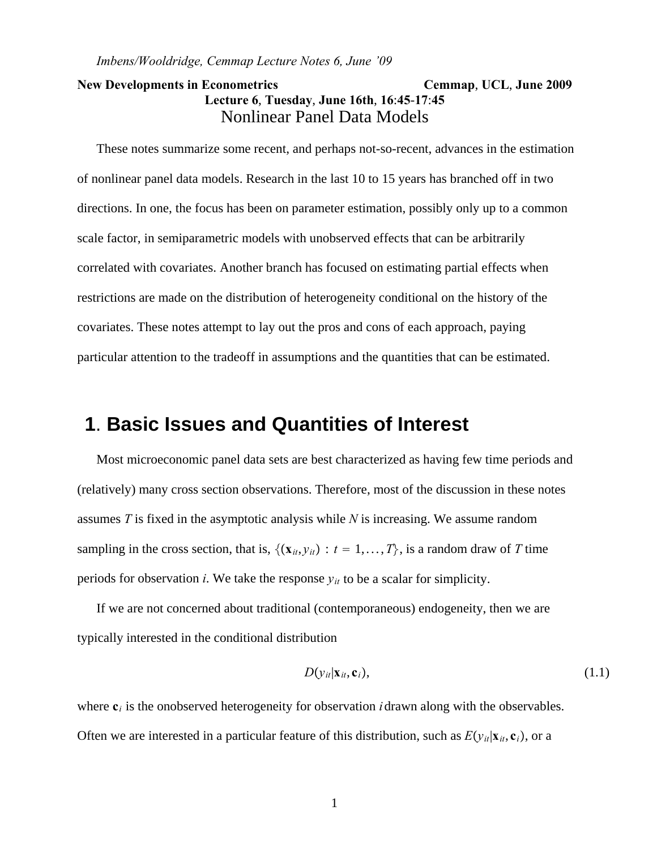## **New Developments in Econometrics Cemmap**, **UCL**, **June 2009 Lecture 6**, **Tuesday**, **June 16th**, **16**:**45**-**17**:**45** Nonlinear Panel Data Models

These notes summarize some recent, and perhaps not-so-recent, advances in the estimation of nonlinear panel data models. Research in the last 10 to 15 years has branched off in two directions. In one, the focus has been on parameter estimation, possibly only up to a common scale factor, in semiparametric models with unobserved effects that can be arbitrarily correlated with covariates. Another branch has focused on estimating partial effects when restrictions are made on the distribution of heterogeneity conditional on the history of the covariates. These notes attempt to lay out the pros and cons of each approach, paying particular attention to the tradeoff in assumptions and the quantities that can be estimated.

# **1**. **Basic Issues and Quantities of Interest**

Most microeconomic panel data sets are best characterized as having few time periods and (relatively) many cross section observations. Therefore, most of the discussion in these notes assumes *T* is fixed in the asymptotic analysis while *N* is increasing. We assume random sampling in the cross section, that is,  $\{(x_{it}, y_{it}) : t = 1, ..., T\}$ , is a random draw of *T* time periods for observation *i*. We take the response  $y_{it}$  to be a scalar for simplicity.

If we are not concerned about traditional (contemporaneous) endogeneity, then we are typically interested in the conditional distribution

$$
D(\mathbf{y}_{it}|\mathbf{x}_{it},\mathbf{c}_i),\tag{1.1}
$$

where  $\mathbf{c}_i$  is the onobserved heterogeneity for observation *i* drawn along with the observables. Often we are interested in a particular feature of this distribution, such as  $E(y_{it}|\mathbf{x}_i,\mathbf{c}_i)$ , or a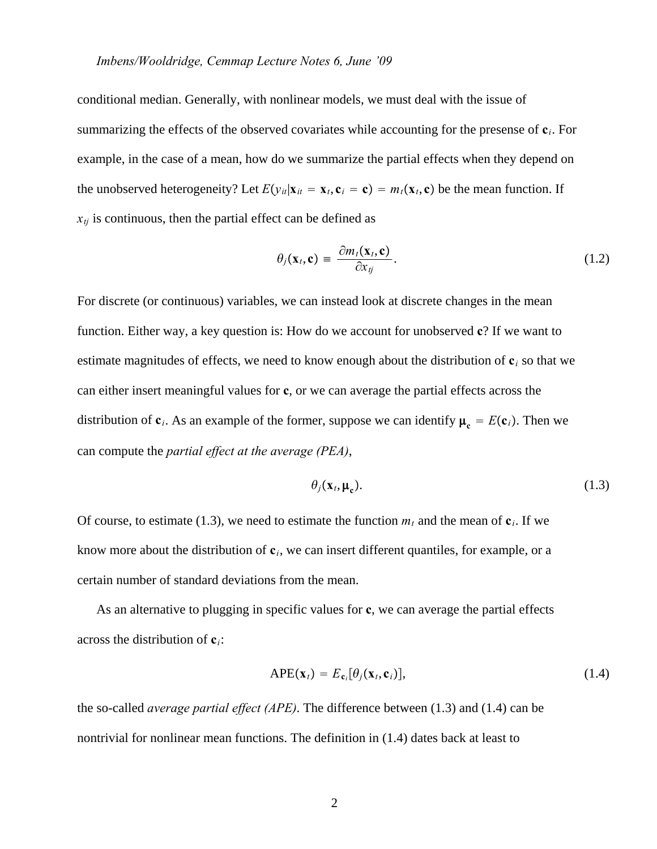#### *Imbens/Wooldridge, Cemmap Lecture Notes 6, June '09*

conditional median. Generally, with nonlinear models, we must deal with the issue of summarizing the effects of the observed covariates while accounting for the presense of **c***i*. For example, in the case of a mean, how do we summarize the partial effects when they depend on the unobserved heterogeneity? Let  $E(y_{it}|\mathbf{x}_{it} = \mathbf{x}_t, \mathbf{c}_i = \mathbf{c}) = m_t(\mathbf{x}_t, \mathbf{c})$  be the mean function. If  $x_{tj}$  is continuous, then the partial effect can be defined as

$$
\theta_j(\mathbf{x}_t, \mathbf{c}) = \frac{\partial m_t(\mathbf{x}_t, \mathbf{c})}{\partial x_{tj}}.
$$
\n(1.2)

For discrete (or continuous) variables, we can instead look at discrete changes in the mean function. Either way, a key question is: How do we account for unobserved **c**? If we want to estimate magnitudes of effects, we need to know enough about the distribution of **c***<sup>i</sup>* so that we can either insert meaningful values for **c**, or we can average the partial effects across the distribution of  $\mathbf{c}_i$ . As an example of the former, suppose we can identify  $\boldsymbol{\mu}_c = E(\mathbf{c}_i)$ . Then we can compute the *partial effect at the average (PEA)*,

$$
\theta_j(\mathbf{x}_t, \boldsymbol{\mu}_c). \tag{1.3}
$$

Of course, to estimate (1.3), we need to estimate the function  $m_t$  and the mean of  $c_i$ . If we know more about the distribution of  $c_i$ , we can insert different quantiles, for example, or a certain number of standard deviations from the mean.

As an alternative to plugging in specific values for **c**, we can average the partial effects across the distribution of **c***i*:

$$
APE(\mathbf{x}_t) = E_{\mathbf{c}_i}[\theta_j(\mathbf{x}_t, \mathbf{c}_i)],
$$
\n(1.4)

the so-called *average partial effect (APE)*. The difference between (1.3) and (1.4) can be nontrivial for nonlinear mean functions. The definition in (1.4) dates back at least to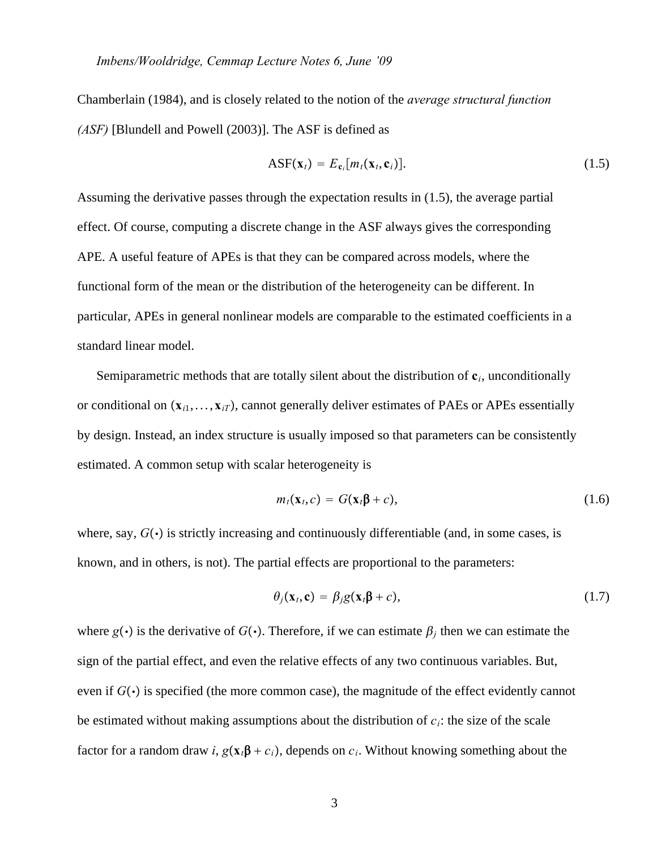Chamberlain (1984), and is closely related to the notion of the *average structural function (ASF)* [Blundell and Powell (2003)]. The ASF is defined as

$$
\text{ASF}(\mathbf{x}_t) = E_{\mathbf{c}_i}[m_t(\mathbf{x}_t, \mathbf{c}_i)].
$$
\n(1.5)

Assuming the derivative passes through the expectation results in (1.5), the average partial effect. Of course, computing a discrete change in the ASF always gives the corresponding APE. A useful feature of APEs is that they can be compared across models, where the functional form of the mean or the distribution of the heterogeneity can be different. In particular, APEs in general nonlinear models are comparable to the estimated coefficients in a standard linear model.

Semiparametric methods that are totally silent about the distribution of **c***i*, unconditionally or conditional on  $(\mathbf{x}_{i1},...,\mathbf{x}_{iT})$ , cannot generally deliver estimates of PAEs or APEs essentially by design. Instead, an index structure is usually imposed so that parameters can be consistently estimated. A common setup with scalar heterogeneity is

$$
m_t(\mathbf{x}_t, c) = G(\mathbf{x}_t \mathbf{\beta} + c), \qquad (1.6)
$$

where, say,  $G(\cdot)$  is strictly increasing and continuously differentiable (and, in some cases, is known, and in others, is not). The partial effects are proportional to the parameters:

$$
\theta_j(\mathbf{x}_t, \mathbf{c}) = \beta_j g(\mathbf{x}_t \mathbf{\beta} + c), \qquad (1.7)
$$

where  $g(\cdot)$  is the derivative of  $G(\cdot)$ . Therefore, if we can estimate  $\beta_i$  then we can estimate the sign of the partial effect, and even the relative effects of any two continuous variables. But, even if  $G(\cdot)$  is specified (the more common case), the magnitude of the effect evidently cannot be estimated without making assumptions about the distribution of  $c_i$ : the size of the scale factor for a random draw *i*,  $g(x_i\beta + c_i)$ , depends on  $c_i$ . Without knowing something about the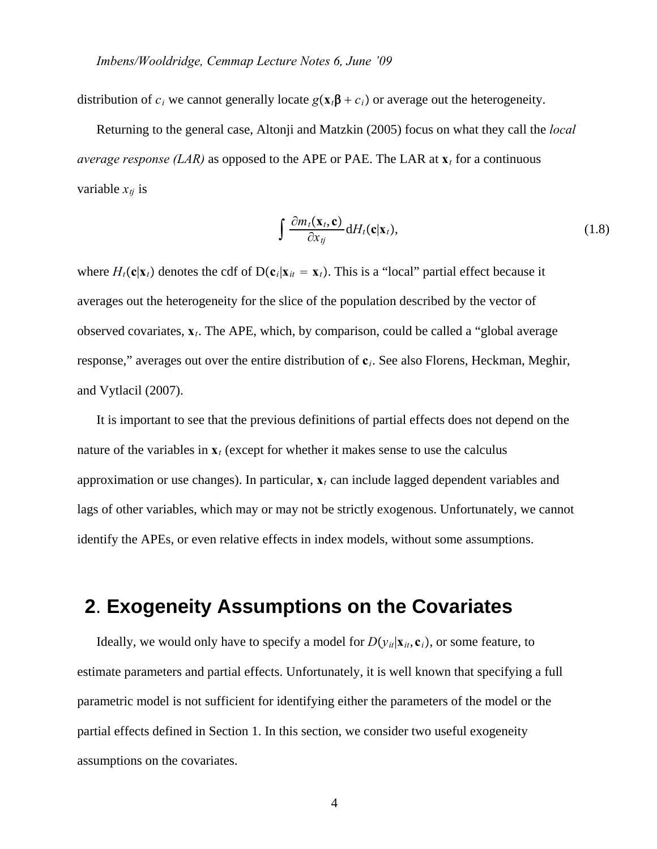distribution of  $c_i$  we cannot generally locate  $g(\mathbf{x}_i \boldsymbol{\beta} + c_i)$  or average out the heterogeneity.

Returning to the general case, Altonji and Matzkin (2005) focus on what they call the *local average response (LAR)* as opposed to the APE or PAE. The LAR at  $\mathbf{x}_t$  for a continuous variable  $x_{ti}$  is

$$
\int \frac{\partial m_t(\mathbf{x}_t, \mathbf{c})}{\partial x_{tj}} \, \mathrm{d}H_t(\mathbf{c}|\mathbf{x}_t),\tag{1.8}
$$

where  $H_t$ **c** $|\mathbf{x}_t|$  denotes the cdf of D(**c**<sub>*i*</sub>|**x**<sub>*it*</sub> = **x**<sub>*t*</sub>). This is a "local" partial effect because it averages out the heterogeneity for the slice of the population described by the vector of observed covariates, **x***t*. The APE, which, by comparison, could be called a "global average response," averages out over the entire distribution of **c***i*. See also Florens, Heckman, Meghir, and Vytlacil (2007).

It is important to see that the previous definitions of partial effects does not depend on the nature of the variables in  $\mathbf{x}_t$  (except for whether it makes sense to use the calculus approximation or use changes). In particular, **x***<sup>t</sup>* can include lagged dependent variables and lags of other variables, which may or may not be strictly exogenous. Unfortunately, we cannot identify the APEs, or even relative effects in index models, without some assumptions.

# **2**. **Exogeneity Assumptions on the Covariates**

Ideally, we would only have to specify a model for  $D(y_{it}|\mathbf{x}_{it}, \mathbf{c}_i)$ , or some feature, to estimate parameters and partial effects. Unfortunately, it is well known that specifying a full parametric model is not sufficient for identifying either the parameters of the model or the partial effects defined in Section 1. In this section, we consider two useful exogeneity assumptions on the covariates.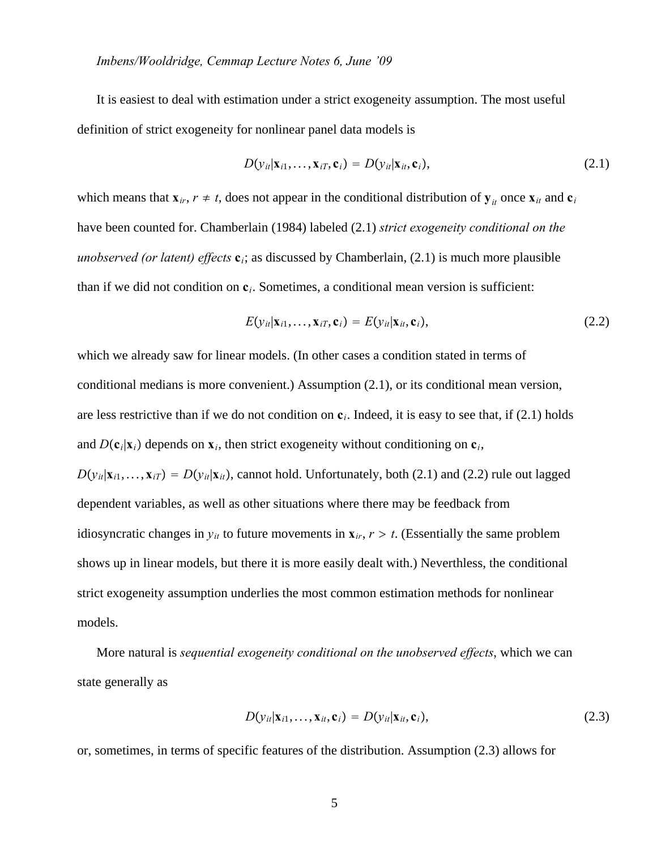It is easiest to deal with estimation under a strict exogeneity assumption. The most useful definition of strict exogeneity for nonlinear panel data models is

$$
D(\mathbf{y}_{it}|\mathbf{x}_{i1},\ldots,\mathbf{x}_{iT},\mathbf{c}_i)=D(\mathbf{y}_{it}|\mathbf{x}_{it},\mathbf{c}_i),
$$
\n(2.1)

which means that  $\mathbf{x}_{ir}$ ,  $r \neq t$ , does not appear in the conditional distribution of  $\mathbf{y}_{it}$  once  $\mathbf{x}_{it}$  and  $\mathbf{c}_i$ have been counted for. Chamberlain (1984) labeled (2.1) *strict exogeneity conditional on the unobserved (or latent) effects* **c***i*; as discussed by Chamberlain, (2.1) is much more plausible than if we did not condition on **c***i*. Sometimes, a conditional mean version is sufficient:

$$
E(y_{it}|\mathbf{x}_{i1},\ldots,\mathbf{x}_{iT},\mathbf{c}_i) = E(y_{it}|\mathbf{x}_{it},\mathbf{c}_i),
$$
\n(2.2)

which we already saw for linear models. (In other cases a condition stated in terms of conditional medians is more convenient.) Assumption (2.1), or its conditional mean version, are less restrictive than if we do not condition on **c***i*. Indeed, it is easy to see that, if (2.1) holds and  $D(c_i|\mathbf{x}_i)$  depends on  $\mathbf{x}_i$ , then strict exogeneity without conditioning on  $c_i$ ,  $D(y_{it}|\mathbf{x}_{i1},...,\mathbf{x}_{iT}) = D(y_{it}|\mathbf{x}_{it})$ , cannot hold. Unfortunately, both (2.1) and (2.2) rule out lagged dependent variables, as well as other situations where there may be feedback from idiosyncratic changes in  $y_{it}$  to future movements in  $\mathbf{x}_{ir}$ ,  $r > t$ . (Essentially the same problem shows up in linear models, but there it is more easily dealt with.) Neverthless, the conditional strict exogeneity assumption underlies the most common estimation methods for nonlinear models.

More natural is *sequential exogeneity conditional on the unobserved effects*, which we can state generally as

$$
D(y_{it}|\mathbf{x}_{i1},\ldots,\mathbf{x}_{it},\mathbf{c}_i) = D(y_{it}|\mathbf{x}_{it},\mathbf{c}_i),
$$
\n(2.3)

or, sometimes, in terms of specific features of the distribution. Assumption (2.3) allows for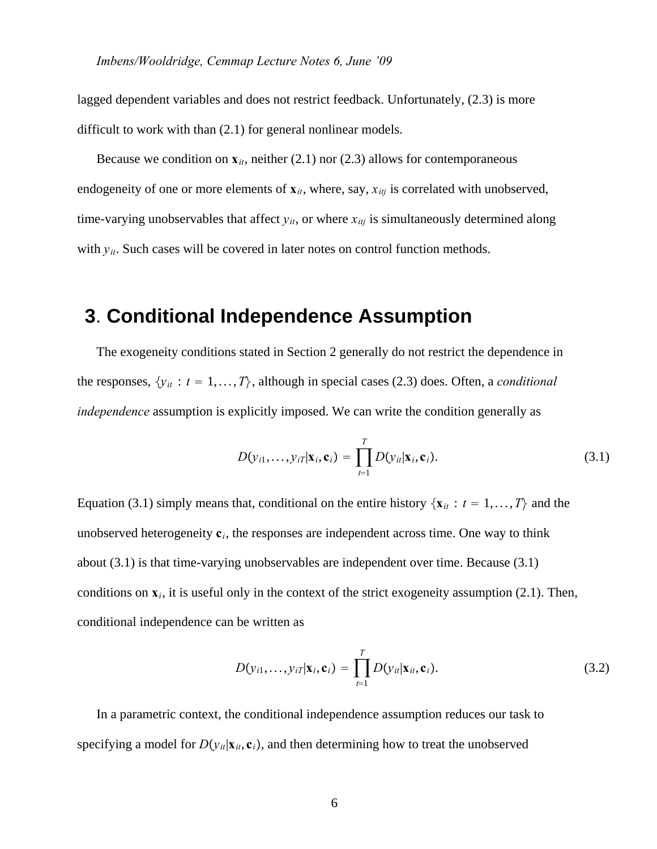lagged dependent variables and does not restrict feedback. Unfortunately,  $(2.3)$  is more difficult to work with than  $(2.1)$  for general nonlinear models.

Because we condition on  $\mathbf{x}_{it}$ , neither (2.1) nor (2.3) allows for contemporaneous endogeneity of one or more elements of  $\mathbf{x}_{it}$ , where, say,  $x_{itj}$  is correlated with unobserved, time-varying unobservables that affect  $y_{it}$ , or where  $x_{itj}$  is simultaneously determined along with  $y_{it}$ . Such cases will be covered in later notes on control function methods.

# **3**. **Conditional Independence Assumption**

The exogeneity conditions stated in Section 2 generally do not restrict the dependence in the responses,  $\{y_{it}: t = 1, ..., T\}$ , although in special cases (2.3) does. Often, a *conditional independence* assumption is explicitly imposed. We can write the condition generally as

$$
D(y_{i1},\ldots,y_{iT}|\mathbf{x}_i,\mathbf{c}_i)=\prod_{t=1}^T D(y_{it}|\mathbf{x}_i,\mathbf{c}_i).
$$
\n(3.1)

Equation (3.1) simply means that, conditional on the entire history  $\{x_{it}: t = 1, ..., T\}$  and the unobserved heterogeneity  $c_i$ , the responses are independent across time. One way to think about (3.1) is that time-varying unobservables are independent over time. Because (3.1) conditions on  $\mathbf{x}_i$ , it is useful only in the context of the strict exogeneity assumption (2.1). Then, conditional independence can be written as

$$
D(y_{i1},\ldots,y_{iT}|\mathbf{x}_i,\mathbf{c}_i)=\prod_{t=1}^T D(y_{it}|\mathbf{x}_{it},\mathbf{c}_i).
$$
 (3.2)

In a parametric context, the conditional independence assumption reduces our task to specifying a model for  $D(y_{it}|\mathbf{x}_{it}, \mathbf{c}_i)$ , and then determining how to treat the unobserved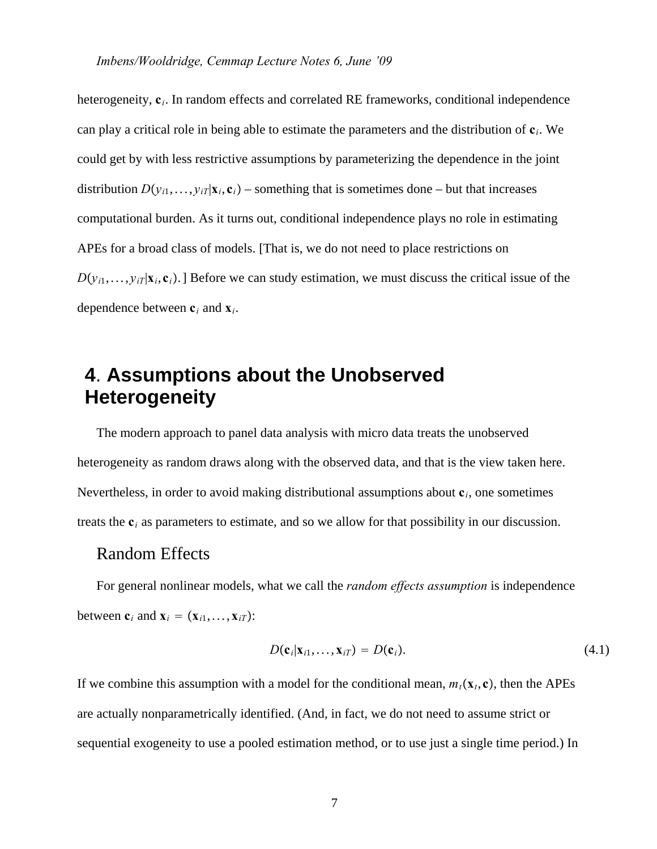heterogeneity,  $c_i$ . In random effects and correlated RE frameworks, conditional independence can play a critical role in being able to estimate the parameters and the distribution of **c***i*. We could get by with less restrictive assumptions by parameterizing the dependence in the joint distribution  $D(y_{i1},..., y_{iT}|\mathbf{x}_i, \mathbf{c}_i)$  – something that is sometimes done – but that increases computational burden. As it turns out, conditional independence plays no role in estimating APEs for a broad class of models. [That is, we do not need to place restrictions on  $D(y_{i1},..., y_{iT}|\mathbf{x}_i, \mathbf{c}_i)$ . Before we can study estimation, we must discuss the critical issue of the dependence between **c***<sup>i</sup>* and **x***i*.

# **4**. **Assumptions about the Unobserved Heterogeneity**

The modern approach to panel data analysis with micro data treats the unobserved heterogeneity as random draws along with the observed data, and that is the view taken here. Nevertheless, in order to avoid making distributional assumptions about **c***i*, one sometimes treats the **c***<sup>i</sup>* as parameters to estimate, and so we allow for that possibility in our discussion.

## Random Effects

For general nonlinear models, what we call the *random effects assumption* is independence between  $\mathbf{c}_i$  and  $\mathbf{x}_i = (\mathbf{x}_{i1}, \dots, \mathbf{x}_{iT})$ :

$$
D(\mathbf{c}_i|\mathbf{x}_{i1},\ldots,\mathbf{x}_{iT})=D(\mathbf{c}_i). \hspace{1cm} (4.1)
$$

If we combine this assumption with a model for the conditional mean,  $m_t(\mathbf{x}_t, \mathbf{c})$ , then the APEs are actually nonparametrically identified. (And, in fact, we do not need to assume strict or sequential exogeneity to use a pooled estimation method, or to use just a single time period.) In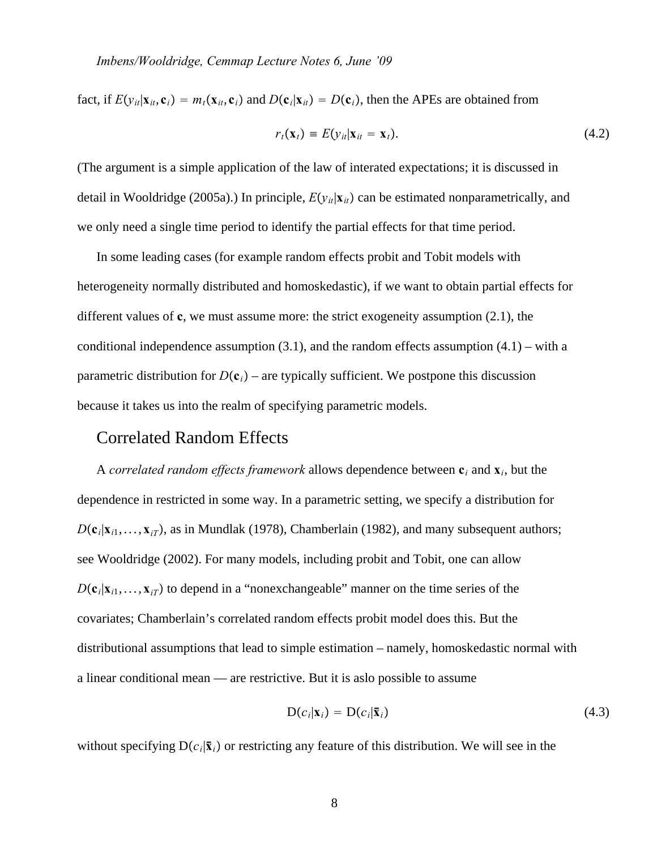fact, if  $E(y_{it}|\mathbf{x}_{it}, \mathbf{c}_i) = m_t(\mathbf{x}_{it}, \mathbf{c}_i)$  and  $D(\mathbf{c}_i|\mathbf{x}_{it}) = D(\mathbf{c}_i)$ , then the APEs are obtained from

$$
r_t(\mathbf{x}_t) \equiv E(\mathbf{y}_{it}|\mathbf{x}_{it} = \mathbf{x}_t). \tag{4.2}
$$

(The argument is a simple application of the law of interated expectations; it is discussed in detail in Wooldridge (2005a).) In principle,  $E(y_i|\mathbf{x}_i)$  can be estimated nonparametrically, and we only need a single time period to identify the partial effects for that time period.

In some leading cases (for example random effects probit and Tobit models with heterogeneity normally distributed and homoskedastic), if we want to obtain partial effects for different values of **c**, we must assume more: the strict exogeneity assumption (2.1), the conditional independence assumption  $(3.1)$ , and the random effects assumption  $(4.1)$  – with a parametric distribution for  $D(c_i)$  – are typically sufficient. We postpone this discussion because it takes us into the realm of specifying parametric models.

## Correlated Random Effects

A *correlated random effects framework* allows dependence between **c***<sup>i</sup>* and **x***i*, but the dependence in restricted in some way. In a parametric setting, we specify a distribution for  $D(c_i|\mathbf{x}_{i1},...,\mathbf{x}_{iT})$ , as in Mundlak (1978), Chamberlain (1982), and many subsequent authors; see Wooldridge (2002). For many models, including probit and Tobit, one can allow  $D(c_i|\mathbf{x}_{i1},...,\mathbf{x}_{iT})$  to depend in a "nonexchangeable" manner on the time series of the covariates; Chamberlain's correlated random effects probit model does this. But the distributional assumptions that lead to simple estimation – namely, homoskedastic normal with a linear conditional mean — are restrictive. But it is aslo possible to assume

$$
D(c_i|\mathbf{x}_i) = D(c_i|\bar{\mathbf{x}}_i) \tag{4.3}
$$

without specifying  $D(c_i|\bar{x}_i)$  or restricting any feature of this distribution. We will see in the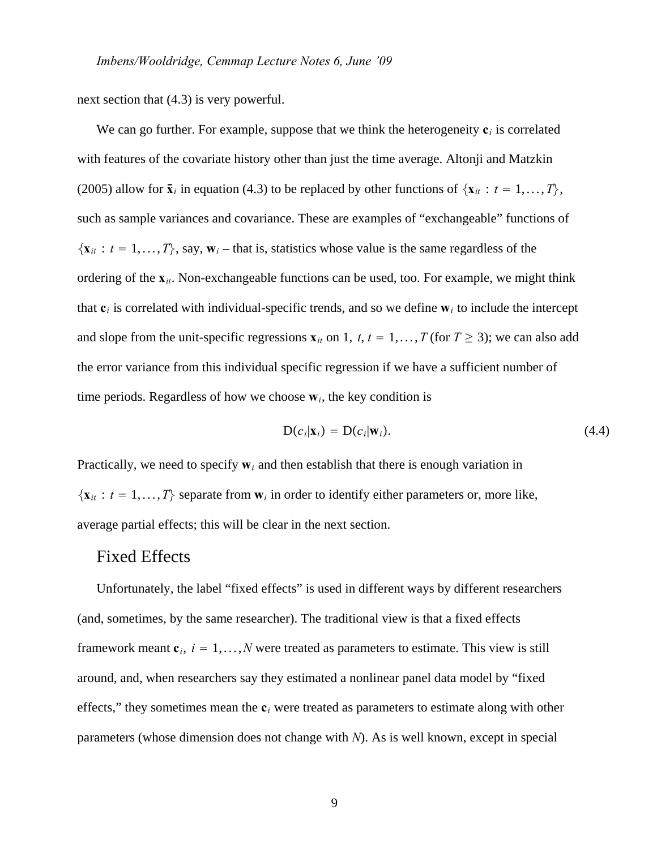next section that (4.3) is very powerful.

We can go further. For example, suppose that we think the heterogeneity  $c_i$  is correlated with features of the covariate history other than just the time average. Altonji and Matzkin (2005) allow for  $\bar{\mathbf{x}}_i$  in equation (4.3) to be replaced by other functions of  $\{\mathbf{x}_{it}: t = 1, ..., T\}$ , such as sample variances and covariance. These are examples of "exchangeable" functions of  $\{x_{it}: t = 1, ..., T\}$ , say,  $w_i$  – that is, statistics whose value is the same regardless of the ordering of the **x***it*. Non-exchangeable functions can be used, too. For example, we might think that  $c_i$  is correlated with individual-specific trends, and so we define  $w_i$  to include the intercept and slope from the unit-specific regressions  $\mathbf{x}_{it}$  on 1,  $t$ ,  $t = 1, \ldots, T$  (for  $T \geq 3$ ); we can also add the error variance from this individual specific regression if we have a sufficient number of time periods. Regardless of how we choose  $w_i$ , the key condition is

$$
D(c_i|\mathbf{x}_i) = D(c_i|\mathbf{w}_i). \tag{4.4}
$$

Practically, we need to specify  $w_i$  and then establish that there is enough variation in  $\{x_{it}: t = 1, ..., T\}$  separate from  $w_i$  in order to identify either parameters or, more like, average partial effects; this will be clear in the next section.

## Fixed Effects

Unfortunately, the label "fixed effects" is used in different ways by different researchers (and, sometimes, by the same researcher). The traditional view is that a fixed effects framework meant  $\mathbf{c}_i$ ,  $i = 1, \ldots, N$  were treated as parameters to estimate. This view is still around, and, when researchers say they estimated a nonlinear panel data model by "fixed effects," they sometimes mean the  $c_i$  were treated as parameters to estimate along with other parameters (whose dimension does not change with *N*). As is well known, except in special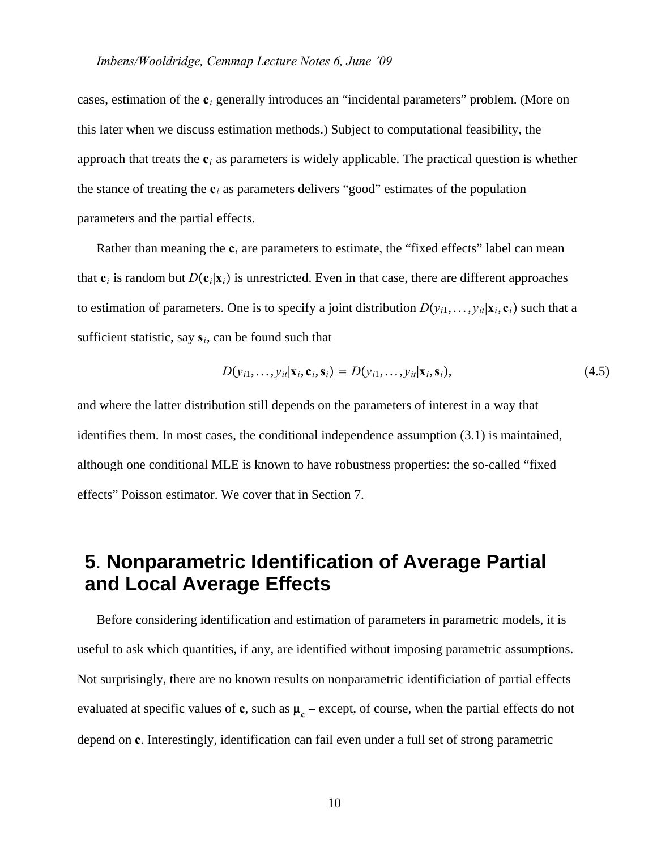cases, estimation of the **c***<sup>i</sup>* generally introduces an "incidental parameters" problem. (More on this later when we discuss estimation methods.) Subject to computational feasibility, the approach that treats the **c***<sup>i</sup>* as parameters is widely applicable. The practical question is whether the stance of treating the  $c_i$  as parameters delivers "good" estimates of the population parameters and the partial effects.

Rather than meaning the  $\mathbf{c}_i$  are parameters to estimate, the "fixed effects" label can mean that  $\mathbf{c}_i$  is random but  $D(\mathbf{c}_i|\mathbf{x}_i)$  is unrestricted. Even in that case, there are different approaches to estimation of parameters. One is to specify a joint distribution  $D(y_{i1},..., y_{it}|\mathbf{x}_i, \mathbf{c}_i)$  such that a sufficient statistic, say  $s_i$ , can be found such that

$$
D(y_{i1},\ldots,y_{it}|\mathbf{x}_i,\mathbf{c}_i,\mathbf{s}_i)=D(y_{i1},\ldots,y_{it}|\mathbf{x}_i,\mathbf{s}_i),
$$
\n(4.5)

and where the latter distribution still depends on the parameters of interest in a way that identifies them. In most cases, the conditional independence assumption (3.1) is maintained, although one conditional MLE is known to have robustness properties: the so-called "fixed effects" Poisson estimator. We cover that in Section 7.

# **5**. **Nonparametric Identification of Average Partial and Local Average Effects**

Before considering identification and estimation of parameters in parametric models, it is useful to ask which quantities, if any, are identified without imposing parametric assumptions. Not surprisingly, there are no known results on nonparametric identificiation of partial effects evaluated at specific values of  $c$ , such as  $\mu_c$  – except, of course, when the partial effects do not depend on **c**. Interestingly, identification can fail even under a full set of strong parametric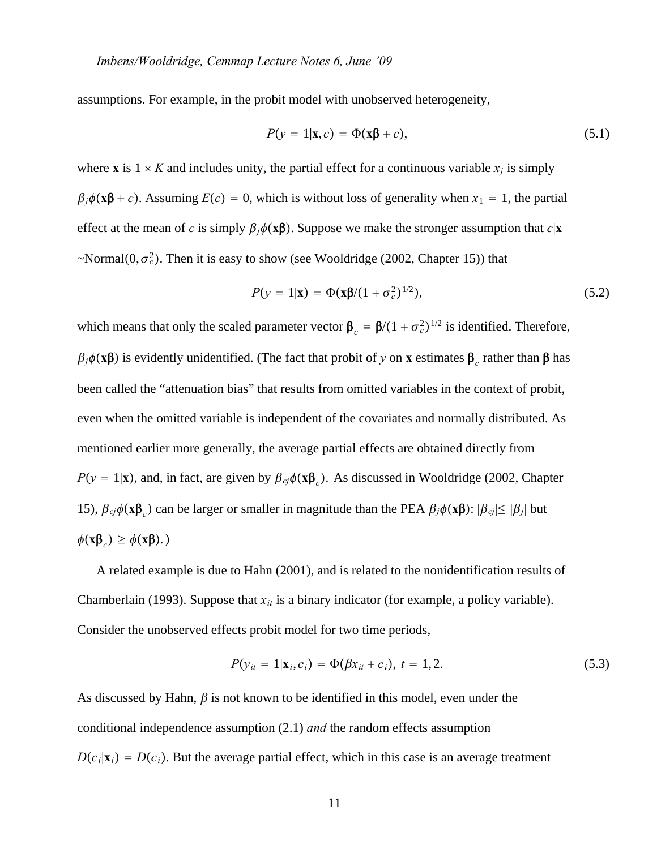assumptions. For example, in the probit model with unobserved heterogeneity,

$$
P(y = 1|\mathbf{x}, c) = \Phi(\mathbf{x}\beta + c),\tag{5.1}
$$

where **x** is  $1 \times K$  and includes unity, the partial effect for a continuous variable  $x_i$  is simply  $\beta_i \phi(\mathbf{x} \beta + c)$ . Assuming  $E(c) = 0$ , which is without loss of generality when  $x_1 = 1$ , the partial effect at the mean of *c* is simply  $\beta_i \phi(\mathbf{x} \beta)$ . Suppose we make the stronger assumption that  $c|\mathbf{x}$  $\sim$ Normal $(0, \sigma_c^2)$ . Then it is easy to show (see Wooldridge (2002, Chapter 15)) that

$$
P(y = 1|\mathbf{x}) = \Phi(\mathbf{x}\beta/(1 + \sigma_c^2)^{1/2}),
$$
\n(5.2)

which means that only the scaled parameter vector  $\beta_c = \beta/(1 + \sigma_c^2)^{1/2}$  is identified. Therefore,  $\beta_j \phi(\mathbf{x} \boldsymbol{\beta})$  is evidently unidentified. (The fact that probit of *y* on **x** estimates  $\boldsymbol{\beta}_c$  rather than  $\boldsymbol{\beta}$  has been called the "attenuation bias" that results from omitted variables in the context of probit, even when the omitted variable is independent of the covariates and normally distributed. As mentioned earlier more generally, the average partial effects are obtained directly from  $P(y = 1|\mathbf{x})$ , and, in fact, are given by  $\beta_{cj}\phi(\mathbf{x}\beta_c)$ . As discussed in Wooldridge (2002, Chapter 15),  $\beta_{ci}\phi(\mathbf{x}\beta_c)$  can be larger or smaller in magnitude than the PEA  $\beta_i\phi(\mathbf{x}\beta)$ :  $|\beta_{ci}|\leq |\beta_i|$  but  $\phi(\mathbf{x}\boldsymbol{\beta}_{c}) \geq \phi(\mathbf{x}\boldsymbol{\beta}).$ 

A related example is due to Hahn (2001), and is related to the nonidentification results of Chamberlain (1993). Suppose that  $x_{it}$  is a binary indicator (for example, a policy variable). Consider the unobserved effects probit model for two time periods,

$$
P(y_{it} = 1 | \mathbf{x}_i, c_i) = \Phi(\beta x_{it} + c_i), \ t = 1, 2. \tag{5.3}
$$

As discussed by Hahn,  $\beta$  is not known to be identified in this model, even under the conditional independence assumption (2.1) *and* the random effects assumption  $D(c_i|\mathbf{x}_i) = D(c_i)$ . But the average partial effect, which in this case is an average treatment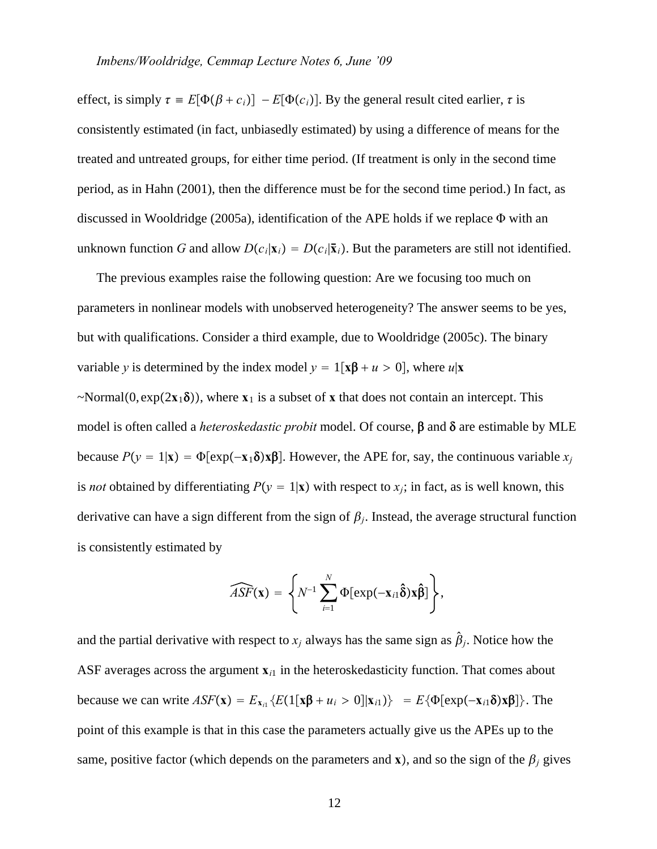effect, is simply  $\tau = E[\Phi(\beta + c_i)] - E[\Phi(c_i)]$ . By the general result cited earlier,  $\tau$  is consistently estimated (in fact, unbiasedly estimated) by using a difference of means for the treated and untreated groups, for either time period. (If treatment is only in the second time period, as in Hahn (2001), then the difference must be for the second time period.) In fact, as discussed in Wooldridge (2005a), identification of the APE holds if we replace  $\Phi$  with an unknown function *G* and allow  $D(c_i|\mathbf{x}_i) = D(c_i|\mathbf{\bar{x}}_i)$ . But the parameters are still not identified.

The previous examples raise the following question: Are we focusing too much on parameters in nonlinear models with unobserved heterogeneity? The answer seems to be yes, but with qualifications. Consider a third example, due to Wooldridge (2005c). The binary variable *y* is determined by the index model  $y = 1[x\beta + u > 0]$ , where  $u|\mathbf{x}$  $\sim$ Normal(0,  $\exp(2x_1\delta)$ ), where  $x_1$  is a subset of x that does not contain an intercept. This model is often called a *heteroskedastic probit* model. Of course,  $\beta$  and  $\delta$  are estimable by MLE because  $P(y = 1|\mathbf{x}) = \Phi[\exp(-\mathbf{x}_1 \delta) \mathbf{x} \beta]$ . However, the APE for, say, the continuous variable  $x_i$ is *not* obtained by differentiating  $P(y = 1|\mathbf{x})$  with respect to  $x_i$ ; in fact, as is well known, this derivative can have a sign different from the sign of  $\beta_i$ . Instead, the average structural function is consistently estimated by

$$
\widehat{ASF}(\mathbf{x}) = \left\{ N^{-1} \sum_{i=1}^N \Phi[\exp(-\mathbf{x}_{i1}\hat{\mathbf{\delta}})\mathbf{x}\hat{\mathbf{\beta}}] \right\},\,
$$

and the partial derivative with respect to  $x_i$  always has the same sign as  $\hat{\beta}_i$ . Notice how the ASF averages across the argument  $\mathbf{x}_{i1}$  in the heteroskedasticity function. That comes about because we can write  $ASF(\mathbf{x}) = E_{\mathbf{x}_{i1}} \{ E(1[\mathbf{x}\mathbf{\beta} + u_i > 0] | \mathbf{x}_{i1}) \} = E \{ \Phi[\exp(-\mathbf{x}_{i1} \delta) \mathbf{x} \mathbf{\beta}] \}$ . The point of this example is that in this case the parameters actually give us the APEs up to the same, positive factor (which depends on the parameters and **x**), and so the sign of the  $\beta_i$  gives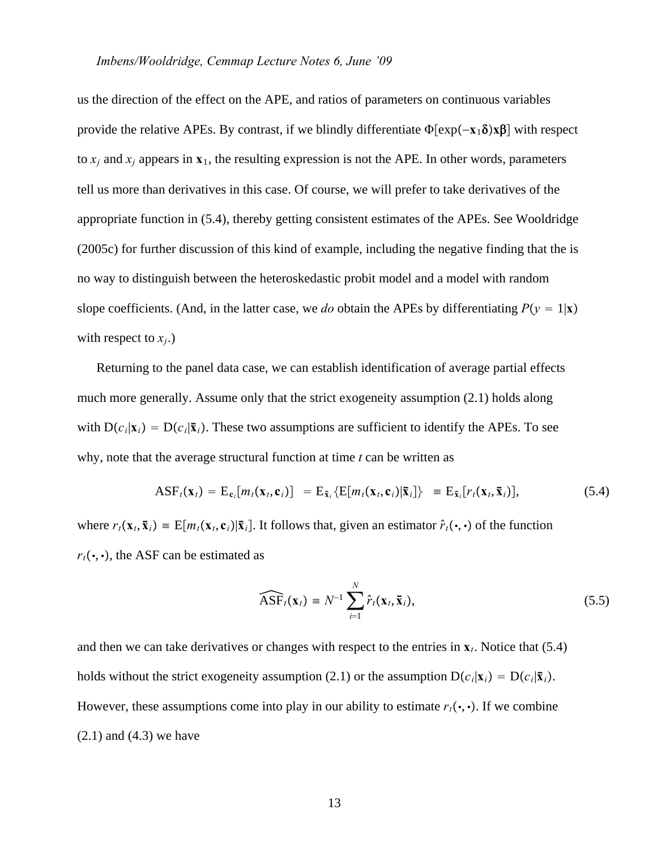#### *Imbens/Wooldridge, Cemmap Lecture Notes 6, June '09*

us the direction of the effect on the APE, and ratios of parameters on continuous variables provide the relative APEs. By contrast, if we blindly differentiate  $\Phi[\exp(-\mathbf{x}_1 \delta) \mathbf{x} \beta]$  with respect to  $x_i$  and  $x_j$  appears in  $x_1$ , the resulting expression is not the APE. In other words, parameters tell us more than derivatives in this case. Of course, we will prefer to take derivatives of the appropriate function in (5.4), thereby getting consistent estimates of the APEs. See Wooldridge (2005c) for further discussion of this kind of example, including the negative finding that the is no way to distinguish between the heteroskedastic probit model and a model with random slope coefficients. (And, in the latter case, we *do* obtain the APEs by differentiating  $P(y = 1|\mathbf{x})$ with respect to  $x_i$ .)

Returning to the panel data case, we can establish identification of average partial effects much more generally. Assume only that the strict exogeneity assumption (2.1) holds along with  $D(c_i|\mathbf{x}_i) = D(c_i|\mathbf{\bar{x}}_i)$ . These two assumptions are sufficient to identify the APEs. To see why, note that the average structural function at time *t* can be written as

$$
\text{ASF}_t(\mathbf{x}_t) = \text{E}_{\mathbf{c}_i}[m_t(\mathbf{x}_t, \mathbf{c}_i)] = \text{E}_{\bar{\mathbf{x}}_i}\{\text{E}[m_t(\mathbf{x}_t, \mathbf{c}_i)|\bar{\mathbf{x}}_i]\} = \text{E}_{\bar{\mathbf{x}}_i}[r_t(\mathbf{x}_t, \bar{\mathbf{x}}_i)],\tag{5.4}
$$

where  $r_t(\mathbf{x}_t, \bar{\mathbf{x}}_i) = E[m_t(\mathbf{x}_t, \mathbf{c}_i)|\bar{\mathbf{x}}_i]$ . It follows that, given an estimator  $\hat{r}_t(\cdot, \cdot)$  of the function  $r_t(\cdot, \cdot)$ , the ASF can be estimated as

$$
\widehat{\text{ASF}}_t(\mathbf{x}_t) \equiv N^{-1} \sum_{i=1}^N \hat{r}_t(\mathbf{x}_t, \mathbf{\bar{x}}_i), \tag{5.5}
$$

and then we can take derivatives or changes with respect to the entries in  $\mathbf{x}_t$ . Notice that (5.4) holds without the strict exogeneity assumption (2.1) or the assumption  $D(c_i|\mathbf{x}_i) = D(c_i|\mathbf{\bar{x}}_i)$ . However, these assumptions come into play in our ability to estimate  $r_t(\cdot, \cdot)$ . If we combine  $(2.1)$  and  $(4.3)$  we have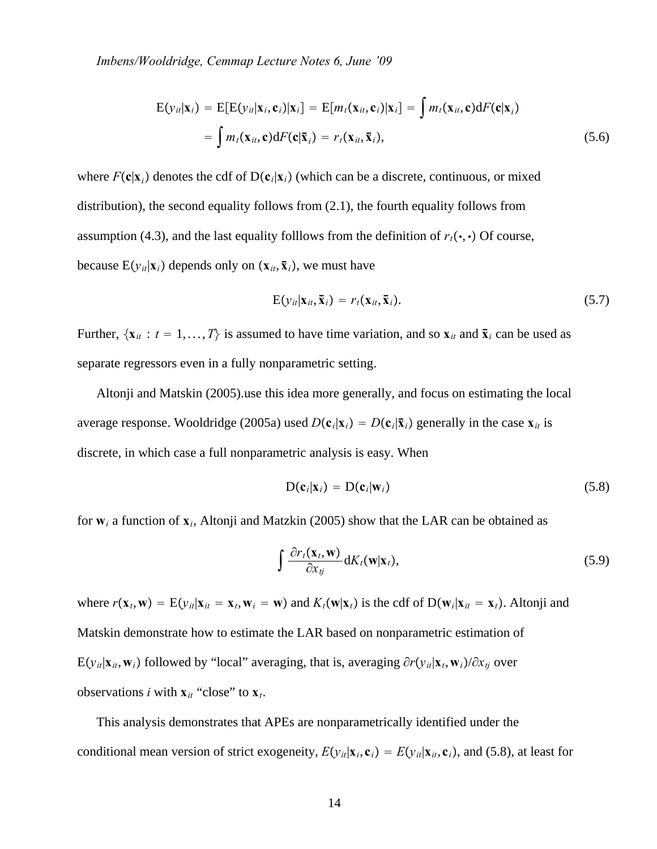*Imbens/Wooldridge, Cemmap Lecture Notes 6, June '09*

$$
E(y_{it}|\mathbf{x}_i) = E[E(y_{it}|\mathbf{x}_i, \mathbf{c}_i)|\mathbf{x}_i] = E[m_t(\mathbf{x}_{it}, \mathbf{c}_i)|\mathbf{x}_i] = \int m_t(\mathbf{x}_{it}, \mathbf{c}) dF(\mathbf{c}|\mathbf{x}_i)
$$
  
= 
$$
\int m_t(\mathbf{x}_{it}, \mathbf{c}) dF(\mathbf{c}|\bar{\mathbf{x}}_i) = r_t(\mathbf{x}_{it}, \bar{\mathbf{x}}_i),
$$
 (5.6)

where  $F(c|\mathbf{x}_i)$  denotes the cdf of  $D(c_i|\mathbf{x}_i)$  (which can be a discrete, continuous, or mixed distribution), the second equality follows from (2.1), the fourth equality follows from assumption (4.3), and the last equality folllows from the definition of  $r_t(\cdot, \cdot)$  Of course, because  $E(y_{it}|\mathbf{x}_i)$  depends only on  $(\mathbf{x}_{it}, \mathbf{\bar{x}}_i)$ , we must have

$$
E(y_{it}|\mathbf{x}_{it}, \mathbf{\bar{x}}_i) = r_t(\mathbf{x}_{it}, \mathbf{\bar{x}}_i). \tag{5.7}
$$

Further,  $\{x_{it}: t = 1, ..., T\}$  is assumed to have time variation, and so  $x_{it}$  and  $\bar{x}_i$  can be used as separate regressors even in a fully nonparametric setting.

Altonji and Matskin (2005).use this idea more generally, and focus on estimating the local average response. Wooldridge (2005a) used  $D(c_i|\mathbf{x}_i) = D(c_i|\mathbf{\bar{x}}_i)$  generally in the case  $\mathbf{x}_{it}$  is discrete, in which case a full nonparametric analysis is easy. When

$$
D(\mathbf{c}_i|\mathbf{x}_i) = D(\mathbf{c}_i|\mathbf{w}_i)
$$
 (5.8)

for  $w_i$  a function of  $x_i$ , Altonji and Matzkin (2005) show that the LAR can be obtained as

$$
\int \frac{\partial r_t(\mathbf{x}_t, \mathbf{w})}{\partial x_{tj}} dK_t(\mathbf{w}|\mathbf{x}_t),
$$
\n(5.9)

where  $r(\mathbf{x}_t, \mathbf{w}) = E(y_{it} | \mathbf{x}_{it} = \mathbf{x}_t, \mathbf{w}_i = \mathbf{w})$  and  $K_t(\mathbf{w} | \mathbf{x}_t)$  is the cdf of  $D(\mathbf{w}_i | \mathbf{x}_{it} = \mathbf{x}_t)$ . Altonji and Matskin demonstrate how to estimate the LAR based on nonparametric estimation of  $E(y_{it}|\mathbf{x}_{it}, \mathbf{w}_i)$  followed by "local" averaging, that is, averaging  $\partial r(y_{it}|\mathbf{x}_t, \mathbf{w}_i)/\partial x_{ti}$  over observations *i* with  $\mathbf{x}_{it}$  "close" to  $\mathbf{x}_{t}$ .

This analysis demonstrates that APEs are nonparametrically identified under the conditional mean version of strict exogeneity,  $E(y_{it}|\mathbf{x}_i, \mathbf{c}_i) = E(y_{it}|\mathbf{x}_i, \mathbf{c}_i)$ , and (5.8), at least for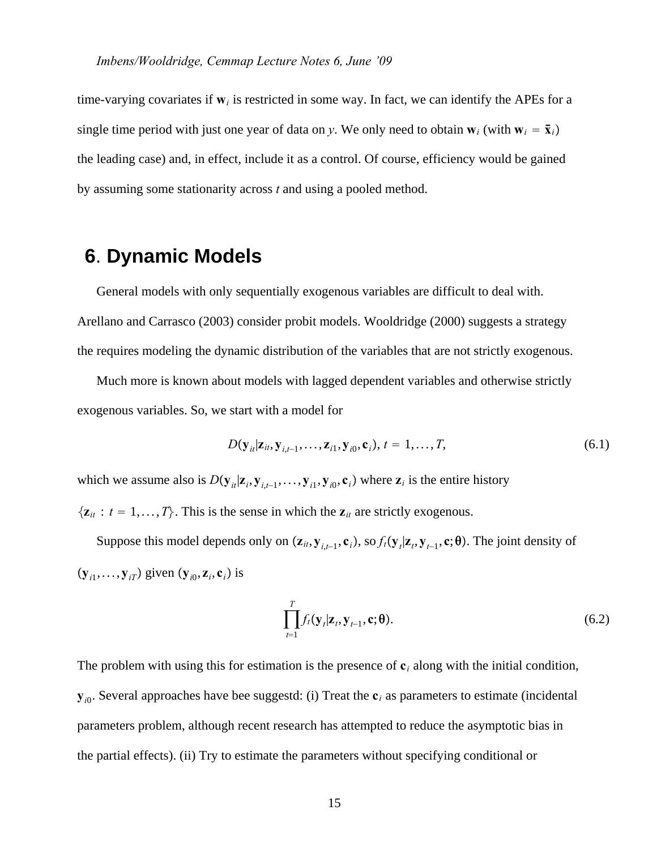time-varying covariates if  $w_i$  is restricted in some way. In fact, we can identify the APEs for a single time period with just one year of data on *y*. We only need to obtain  $w_i$  (with  $w_i = \bar{x}_i$ ) the leading case) and, in effect, include it as a control. Of course, efficiency would be gained by assuming some stationarity across *t* and using a pooled method.

# **6**. **Dynamic Models**

General models with only sequentially exogenous variables are difficult to deal with. Arellano and Carrasco (2003) consider probit models. Wooldridge (2000) suggests a strategy the requires modeling the dynamic distribution of the variables that are not strictly exogenous.

Much more is known about models with lagged dependent variables and otherwise strictly exogenous variables. So, we start with a model for

$$
D(\mathbf{y}_{it}|\mathbf{z}_{it}, \mathbf{y}_{i,t-1}, \dots, \mathbf{z}_{i1}, \mathbf{y}_{i0}, \mathbf{c}_i), t = 1, \dots, T,
$$
\n(6.1)

which we assume also is  $D(\mathbf{y}_{i}|\mathbf{z}_{i}, \mathbf{y}_{i,t-1}, \dots, \mathbf{y}_{i}, \mathbf{y}_{i0}, \mathbf{c}_{i})$  where  $\mathbf{z}_{i}$  is the entire history

 $\{z_{it}: t = 1, \ldots, T\}$ . This is the sense in which the  $z_{it}$  are strictly exogenous.

Suppose this model depends only on  $(\mathbf{z}_{it}, \mathbf{y}_{i,t-1}, \mathbf{c}_i)$ , so  $f_t(\mathbf{y}_t | \mathbf{z}_t, \mathbf{y}_{t-1}, \mathbf{c}; \theta)$ . The joint density of  $(\mathbf{y}_{i1}, \dots, \mathbf{y}_{iT})$  given  $(\mathbf{y}_{i0}, \mathbf{z}_i, \mathbf{c}_i)$  is

$$
\prod_{t=1}^{T} f_t(\mathbf{y}_t|\mathbf{z}_t, \mathbf{y}_{t-1}, \mathbf{c}; \boldsymbol{\theta}).
$$
\n(6.2)

The problem with using this for estimation is the presence of  $c_i$  along with the initial condition,  $y_{i0}$ . Several approaches have bee suggestd: (i) Treat the  $c_i$  as parameters to estimate (incidental parameters problem, although recent research has attempted to reduce the asymptotic bias in the partial effects). (ii) Try to estimate the parameters without specifying conditional or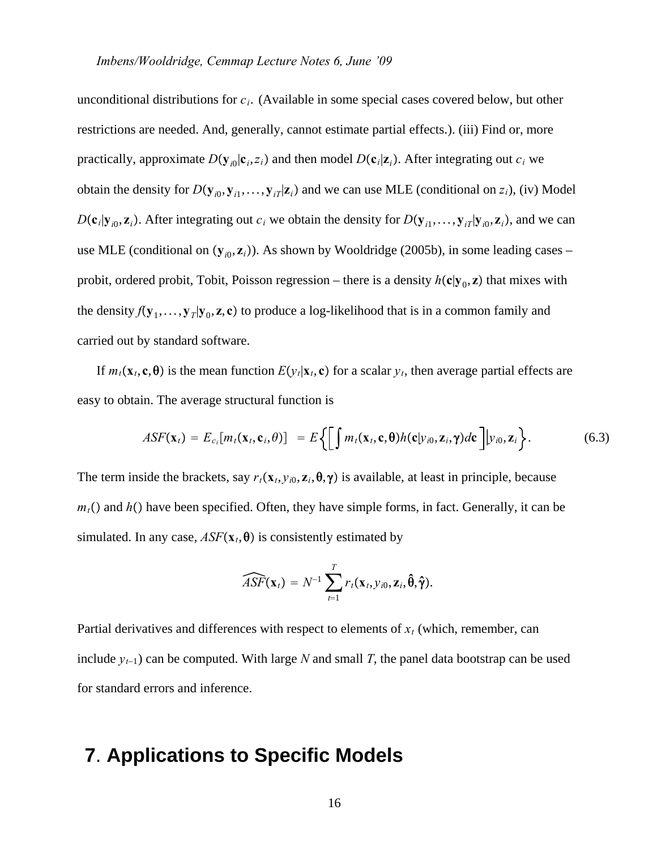unconditional distributions for *ci*. (Available in some special cases covered below, but other restrictions are needed. And, generally, cannot estimate partial effects.). (iii) Find or, more practically, approximate  $D(\mathbf{y}_{i0}|\mathbf{c}_i, z_i)$  and then model  $D(\mathbf{c}_i|\mathbf{z}_i)$ . After integrating out  $c_i$  we obtain the density for  $D(\mathbf{y}_{i0}, \mathbf{y}_{i1}, \dots, \mathbf{y}_{iT}|\mathbf{z}_i)$  and we can use MLE (conditional on  $z_i$ ), (iv) Model  $D(c_i|\mathbf{y}_{i0}, \mathbf{z}_i)$ . After integrating out  $c_i$  we obtain the density for  $D(\mathbf{y}_{i1}, \dots, \mathbf{y}_{iT}|\mathbf{y}_{i0}, \mathbf{z}_i)$ , and we can use MLE (conditional on  $(y_{i0}, z_i)$ ). As shown by Wooldridge (2005b), in some leading cases – probit, ordered probit, Tobit, Poisson regression – there is a density  $h(c|y_0, z)$  that mixes with the density  $f(\mathbf{y}_1,\ldots,\mathbf{y}_T|\mathbf{y}_0,\mathbf{z},\mathbf{c})$  to produce a log-likelihood that is in a common family and carried out by standard software.

If  $m_t(\mathbf{x}_t, \mathbf{c}, \mathbf{\theta})$  is the mean function  $E(y_t|\mathbf{x}_t, \mathbf{c})$  for a scalar  $y_t$ , then average partial effects are easy to obtain. The average structural function is

$$
ASF(\mathbf{x}_t) = E_{c_i}[m_t(\mathbf{x}_t, \mathbf{c}_i, \theta)] = E\bigg\{\bigg[\int m_t(\mathbf{x}_t, \mathbf{c}, \theta)h(\mathbf{c}|\mathbf{y}_{i0}, \mathbf{z}_i, \gamma)d\mathbf{c}\bigg]|\mathbf{y}_{i0}, \mathbf{z}_i\bigg\}.
$$
(6.3)

The term inside the brackets, say  $r_t$ ( $\mathbf{x}_t$ ,  $y_{i0}$ ,  $\mathbf{z}_i$ ,  $\theta$ , $\gamma$ ) is available, at least in principle, because  $m_t$ () and  $h$ () have been specified. Often, they have simple forms, in fact. Generally, it can be simulated. In any case,  $ASF(\mathbf{x}_t, \boldsymbol{\theta})$  is consistently estimated by

$$
\widehat{ASF}(\mathbf{x}_t) = N^{-1} \sum_{t=1}^T r_t(\mathbf{x}_t, y_{i0}, \mathbf{z}_i, \hat{\boldsymbol{\theta}}, \hat{\boldsymbol{\gamma}}).
$$

Partial derivatives and differences with respect to elements of  $x_t$  (which, remember, can include *yt*−1) can be computed. With large *N* and small *T*, the panel data bootstrap can be used for standard errors and inference.

## **7**. **Applications to Specific Models**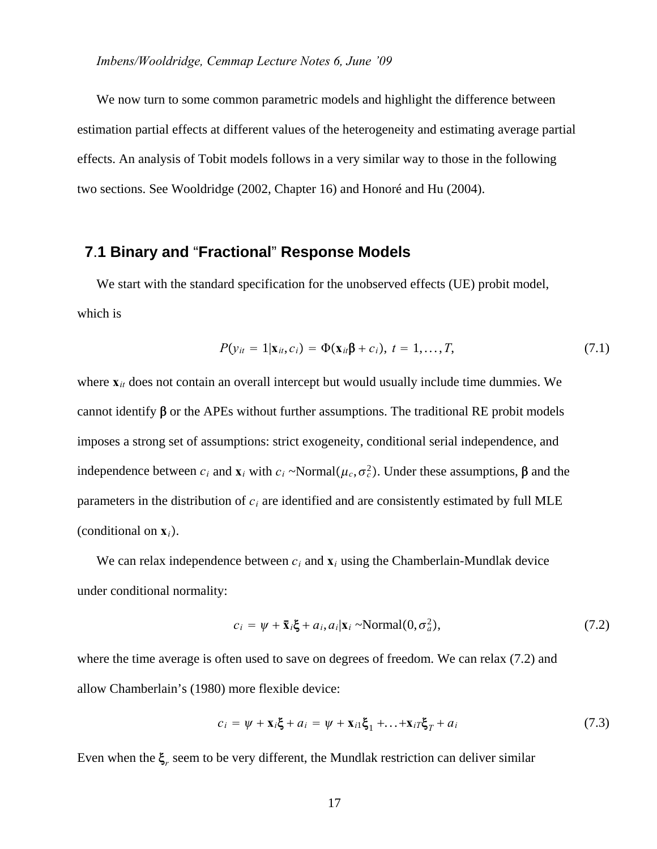We now turn to some common parametric models and highlight the difference between estimation partial effects at different values of the heterogeneity and estimating average partial effects. An analysis of Tobit models follows in a very similar way to those in the following two sections. See Wooldridge (2002, Chapter 16) and Honoré and Hu (2004).

## **7**.**1 Binary and** "**Fractional**" **Response Models**

We start with the standard specification for the unobserved effects (UE) probit model, which is

$$
P(\mathbf{y}_{it} = 1 | \mathbf{x}_{it}, c_i) = \Phi(\mathbf{x}_{it} \mathbf{\beta} + c_i), t = 1, \dots, T,
$$
\n
$$
(7.1)
$$

where **x***it* does not contain an overall intercept but would usually include time dummies. We cannot identify  $\beta$  or the APEs without further assumptions. The traditional RE probit models imposes a strong set of assumptions: strict exogeneity, conditional serial independence, and independence between  $c_i$  and  $\mathbf{x}_i$  with  $c_i \sim \text{Normal}(\mu_c, \sigma_c^2)$ . Under these assumptions,  $\boldsymbol{\beta}$  and the parameters in the distribution of  $c_i$  are identified and are consistently estimated by full MLE (conditional on **x***i*.

We can relax independence between  $c_i$  and  $\mathbf{x}_i$  using the Chamberlain-Mundlak device under conditional normality:

$$
c_i = \psi + \bar{\mathbf{x}}_i \xi + a_i, a_i | \mathbf{x}_i \sim \text{Normal}(0, \sigma_a^2), \tag{7.2}
$$

where the time average is often used to save on degrees of freedom. We can relax (7.2) and allow Chamberlain's (1980) more flexible device:

$$
c_i = \psi + \mathbf{x}_i \boldsymbol{\xi} + a_i = \psi + \mathbf{x}_{i1} \boldsymbol{\xi}_1 + \dots + \mathbf{x}_{iT} \boldsymbol{\xi}_T + a_i
$$
\n(7.3)

Even when the  $\xi_r$  seem to be very different, the Mundlak restriction can deliver similar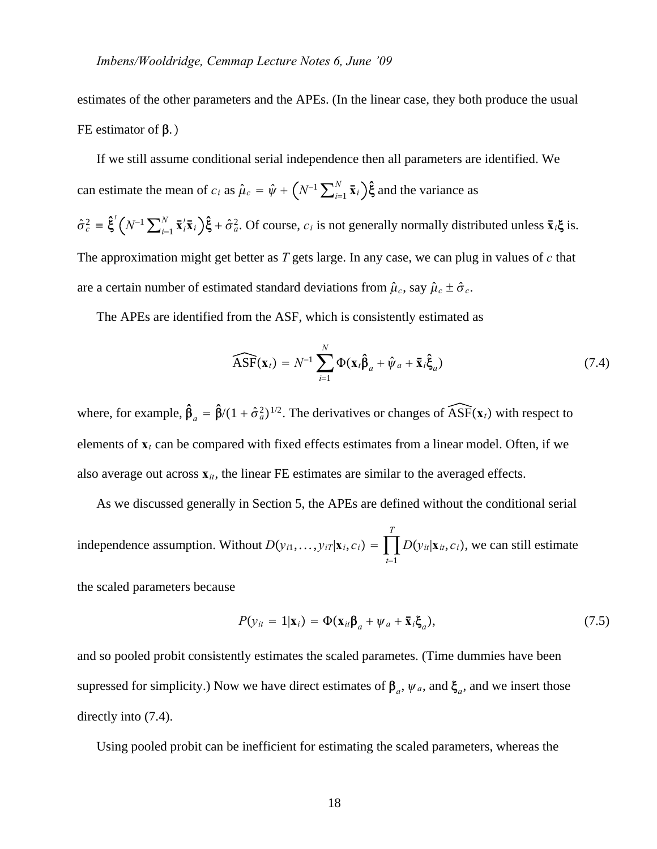estimates of the other parameters and the APEs. (In the linear case, they both produce the usual FE estimator of  $\beta$ .)

If we still assume conditional serial independence then all parameters are identified. We can estimate the mean of  $c_i$  as  $\hat{\mu}_c = \hat{\psi} + \left(N^{-1} \sum_{i=1}^N \bar{x}_i\right) \hat{\xi}$  and the variance as  $\hat{\sigma}_c^2 = \hat{\xi}'(N^{-1}\sum_{i=1}^N \bar{x}_i' \bar{x}_i)\hat{\xi} + \hat{\sigma}_a^2$ . Of course,  $c_i$  is not generally normally distributed unless  $\bar{x}_i \xi$  is. The approximation might get better as *T* gets large. In any case, we can plug in values of *c* that are a certain number of estimated standard deviations from  $\hat{\mu}_c$ , say  $\hat{\mu}_c \pm \hat{\sigma}_c$ .

The APEs are identified from the ASF, which is consistently estimated as

$$
\widehat{\text{ASF}}(\mathbf{x}_t) = N^{-1} \sum_{i=1}^N \Phi(\mathbf{x}_t \hat{\beta}_a + \hat{\psi}_a + \bar{\mathbf{x}}_i \hat{\xi}_a)
$$
(7.4)

where, for example,  $\hat{\beta}_a = \hat{\beta}/(1 + \hat{\sigma}_a^2)^{1/2}$ . The derivatives or changes of  $\widehat{ASF}(x_t)$  with respect to elements of  $\mathbf{x}_t$  can be compared with fixed effects estimates from a linear model. Often, if we also average out across  $\mathbf{x}_{it}$ , the linear FE estimates are similar to the averaged effects.

As we discussed generally in Section 5, the APEs are defined without the conditional serial independence assumption. Without  $D(y_{i1},..., y_{iT}|\mathbf{x}_i, c_i) = \prod$  $t = 1$ *T*  $D(y_{it}|\mathbf{x}_{it}, c_i)$ , we can still estimate

the scaled parameters because

$$
P(y_{it} = 1|\mathbf{x}_i) = \Phi(\mathbf{x}_{it}\beta_a + \psi_a + \bar{\mathbf{x}}_i\xi_a),
$$
\n(7.5)

and so pooled probit consistently estimates the scaled parametes. (Time dummies have been supressed for simplicity.) Now we have direct estimates of  $\beta_a$ ,  $\psi_a$ , and  $\xi_a$ , and we insert those directly into (7.4).

Using pooled probit can be inefficient for estimating the scaled parameters, whereas the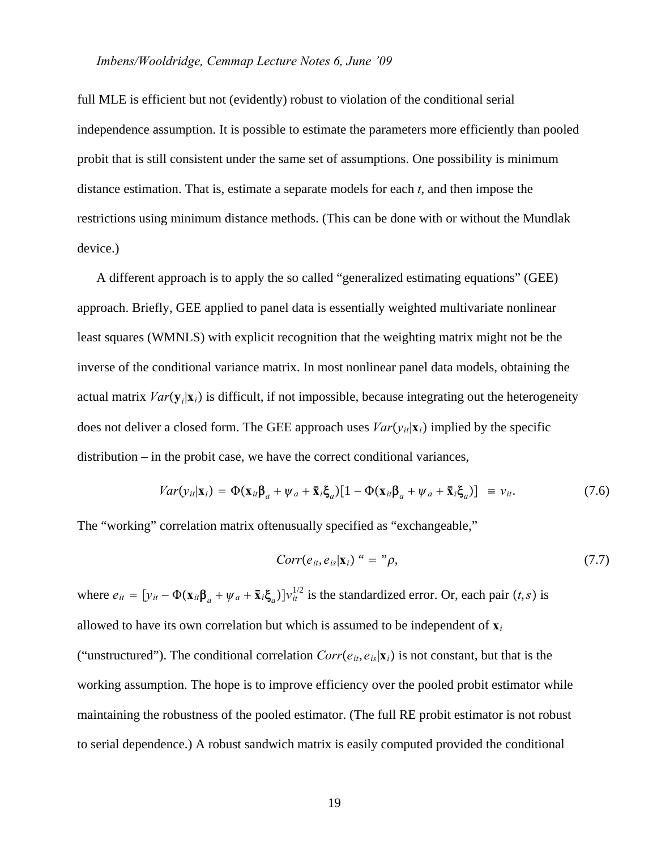full MLE is efficient but not (evidently) robust to violation of the conditional serial independence assumption. It is possible to estimate the parameters more efficiently than pooled probit that is still consistent under the same set of assumptions. One possibility is minimum distance estimation. That is, estimate a separate models for each *t*, and then impose the restrictions using minimum distance methods. (This can be done with or without the Mundlak device.)

A different approach is to apply the so called "generalized estimating equations" (GEE) approach. Briefly, GEE applied to panel data is essentially weighted multivariate nonlinear least squares (WMNLS) with explicit recognition that the weighting matrix might not be the inverse of the conditional variance matrix. In most nonlinear panel data models, obtaining the actual matrix  $Var(\mathbf{y}_i|\mathbf{x}_i)$  is difficult, if not impossible, because integrating out the heterogeneity does not deliver a closed form. The GEE approach uses  $Var(v_i|\mathbf{x}_i)$  implied by the specific distribution – in the probit case, we have the correct conditional variances,

$$
Var(y_{it}|\mathbf{x}_i) = \Phi(\mathbf{x}_{it}\boldsymbol{\beta}_a + \psi_a + \bar{\mathbf{x}}_i\boldsymbol{\xi}_a)[1 - \Phi(\mathbf{x}_{it}\boldsymbol{\beta}_a + \psi_a + \bar{\mathbf{x}}_i\boldsymbol{\xi}_a)] \equiv v_{it}.
$$
 (7.6)

The "working" correlation matrix oftenusually specified as "exchangeable,"

$$
Corr(e_{it}, e_{is}|\mathbf{x}_i) \cdot \cdot = \cdot \cdot \rho, \tag{7.7}
$$

where  $e_{it} = [y_{it} - \Phi(\mathbf{x}_{it} \mathbf{\beta}_a + \psi_a + \bar{\mathbf{x}}_i \xi_a)]v_{it}^{1/2}$  is the standardized error. Or, each pair  $(t, s)$  is allowed to have its own correlation but which is assumed to be independent of  $\mathbf{x}_i$ ("unstructured"). The conditional correlation  $Corr(e_{it}, e_{is}|\mathbf{x}_i)$  is not constant, but that is the working assumption. The hope is to improve efficiency over the pooled probit estimator while maintaining the robustness of the pooled estimator. (The full RE probit estimator is not robust to serial dependence.) A robust sandwich matrix is easily computed provided the conditional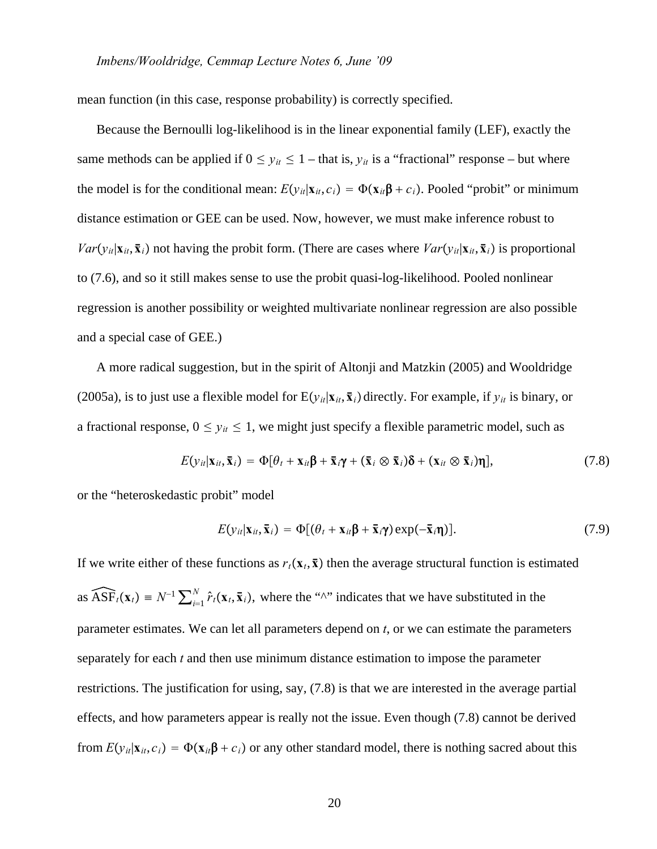mean function (in this case, response probability) is correctly specified.

Because the Bernoulli log-likelihood is in the linear exponential family (LEF), exactly the same methods can be applied if  $0 \le y_{it} \le 1$  – that is,  $y_{it}$  is a "fractional" response – but where the model is for the conditional mean:  $E(y_{ii}|\mathbf{x}_{ii}, c_i) = \Phi(\mathbf{x}_{ii}\mathbf{\beta} + c_i)$ . Pooled "probit" or minimum distance estimation or GEE can be used. Now, however, we must make inference robust to *Var* $(v_{it}|\mathbf{x}_{it}, \bar{\mathbf{x}}_i)$  not having the probit form. (There are cases where  $Var(v_{it}|\mathbf{x}_{it}, \bar{\mathbf{x}}_i)$  is proportional to (7.6), and so it still makes sense to use the probit quasi-log-likelihood. Pooled nonlinear regression is another possibility or weighted multivariate nonlinear regression are also possible and a special case of GEE.)

A more radical suggestion, but in the spirit of Altonji and Matzkin (2005) and Wooldridge (2005a), is to just use a flexible model for  $E(y_{it}|\mathbf{x}_{it}, \mathbf{\bar{x}}_i)$  directly. For example, if  $y_{it}$  is binary, or a fractional response,  $0 \le y_{it} \le 1$ , we might just specify a flexible parametric model, such as

$$
E(y_{it}|\mathbf{x}_{it},\mathbf{\bar{x}}_i) = \Phi[\theta_t + \mathbf{x}_{it}\mathbf{\beta} + \mathbf{\bar{x}}_i\mathbf{\gamma} + (\mathbf{\bar{x}}_i \otimes \mathbf{\bar{x}}_i)\mathbf{\delta} + (\mathbf{x}_{it} \otimes \mathbf{\bar{x}}_i)\mathbf{\eta}],
$$
(7.8)

or the "heteroskedastic probit" model

$$
E(y_{it}|\mathbf{x}_{it}, \mathbf{\bar{x}}_i) = \Phi[(\theta_t + \mathbf{x}_{it}\mathbf{\beta} + \mathbf{\bar{x}}_i\mathbf{\gamma})\exp(-\mathbf{\bar{x}}_i\mathbf{\eta})]. \tag{7.9}
$$

If we write either of these functions as  $r_t(\mathbf{x}_t, \bar{\mathbf{x}})$  then the average structural function is estimated as  $\widehat{ASF}_t(\mathbf{x}_t) = N^{-1} \sum_{i=1}^N \hat{r}_t(\mathbf{x}_t, \bar{\mathbf{x}}_i)$ , where the "^" indicates that we have substituted in the parameter estimates. We can let all parameters depend on *t*, or we can estimate the parameters separately for each *t* and then use minimum distance estimation to impose the parameter restrictions. The justification for using, say, (7.8) is that we are interested in the average partial effects, and how parameters appear is really not the issue. Even though (7.8) cannot be derived from  $E(y_{it}|\mathbf{x}_{it}, c_i) = \Phi(\mathbf{x}_{it}\beta + c_i)$  or any other standard model, there is nothing sacred about this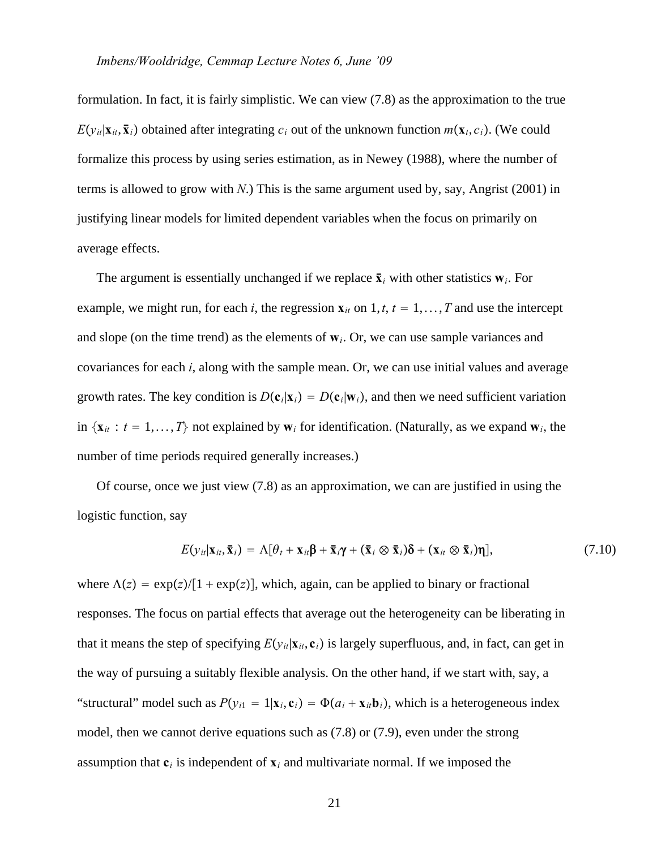formulation. In fact, it is fairly simplistic. We can view (7.8) as the approximation to the true  $E(y_{it}|\mathbf{x}_{it}, \bar{\mathbf{x}}_i)$  obtained after integrating  $c_i$  out of the unknown function  $m(\mathbf{x}_i, c_i)$ . (We could formalize this process by using series estimation, as in Newey (1988), where the number of terms is allowed to grow with *N*.) This is the same argument used by, say, Angrist (2001) in justifying linear models for limited dependent variables when the focus on primarily on average effects.

The argument is essentially unchanged if we replace  $\bar{\mathbf{x}}_i$  with other statistics  $\mathbf{w}_i$ . For example, we might run, for each *i*, the regression  $\mathbf{x}_{it}$  on 1, *t*,  $t = 1, \ldots, T$  and use the intercept and slope (on the time trend) as the elements of  $w_i$ . Or, we can use sample variances and covariances for each *i*, along with the sample mean. Or, we can use initial values and average growth rates. The key condition is  $D(c_i|\mathbf{x}_i) = D(c_i|\mathbf{w}_i)$ , and then we need sufficient variation in  $\{x_{it}: t = 1, ..., T\}$  not explained by  $w_i$  for identification. (Naturally, as we expand  $w_i$ , the number of time periods required generally increases.)

Of course, once we just view (7.8) as an approximation, we can are justified in using the logistic function, say

$$
E(y_{it}|\mathbf{x}_{it},\mathbf{\bar{x}}_i) = \Lambda[\theta_t + \mathbf{x}_{it}\mathbf{\beta} + \mathbf{\bar{x}}_i\mathbf{\gamma} + (\mathbf{\bar{x}}_i \otimes \mathbf{\bar{x}}_i)\mathbf{\delta} + (\mathbf{x}_{it} \otimes \mathbf{\bar{x}}_i)\mathbf{\eta}],
$$
(7.10)

where  $\Lambda(z) = \exp(z)/[1 + \exp(z)]$ , which, again, can be applied to binary or fractional responses. The focus on partial effects that average out the heterogeneity can be liberating in that it means the step of specifying  $E(y_{it}|\mathbf{x}_{it}, \mathbf{c}_i)$  is largely superfluous, and, in fact, can get in the way of pursuing a suitably flexible analysis. On the other hand, if we start with, say, a "structural" model such as  $P(y_i) = 1 | \mathbf{x}_i, \mathbf{c}_i) = \Phi(a_i + \mathbf{x}_i, \mathbf{b}_i)$ , which is a heterogeneous index model, then we cannot derive equations such as (7.8) or (7.9), even under the strong assumption that  $\mathbf{c}_i$  is independent of  $\mathbf{x}_i$  and multivariate normal. If we imposed the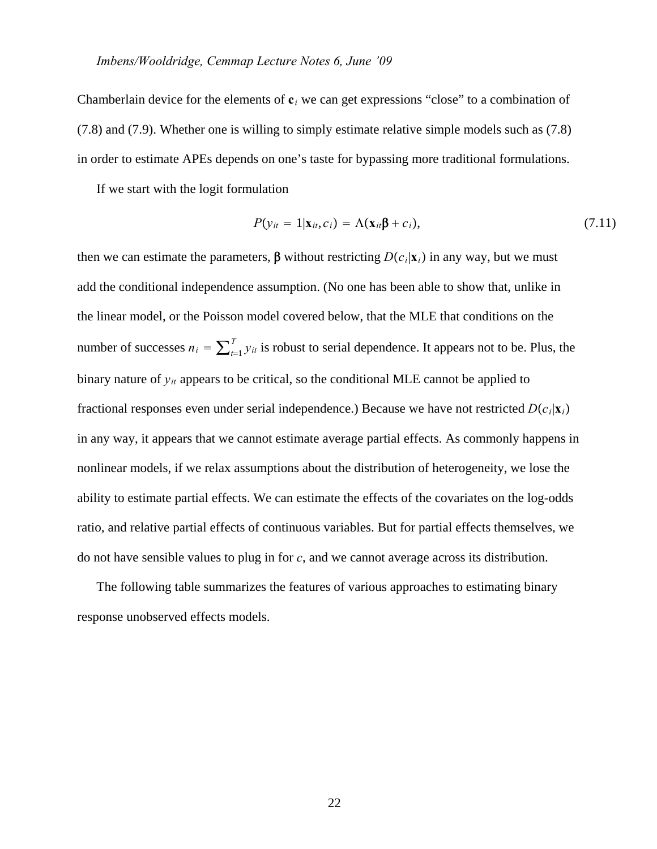Chamberlain device for the elements of  $c_i$  we can get expressions "close" to a combination of (7.8) and (7.9). Whether one is willing to simply estimate relative simple models such as (7.8) in order to estimate APEs depends on one's taste for bypassing more traditional formulations.

If we start with the logit formulation

$$
P(y_{it} = 1 | \mathbf{x}_{it}, c_i) = \Lambda(\mathbf{x}_{it} \mathbf{\beta} + c_i),
$$
\n(7.11)

then we can estimate the parameters,  $\beta$  without restricting  $D(c_i|\mathbf{x}_i)$  in any way, but we must add the conditional independence assumption. (No one has been able to show that, unlike in the linear model, or the Poisson model covered below, that the MLE that conditions on the number of successes  $n_i = \sum_{t=1}^T y_{it}$  is robust to serial dependence. It appears not to be. Plus, the binary nature of *yit* appears to be critical, so the conditional MLE cannot be applied to fractional responses even under serial independence.) Because we have not restricted  $D(c_i|\mathbf{x}_i)$ in any way, it appears that we cannot estimate average partial effects. As commonly happens in nonlinear models, if we relax assumptions about the distribution of heterogeneity, we lose the ability to estimate partial effects. We can estimate the effects of the covariates on the log-odds ratio, and relative partial effects of continuous variables. But for partial effects themselves, we do not have sensible values to plug in for *c*, and we cannot average across its distribution.

The following table summarizes the features of various approaches to estimating binary response unobserved effects models.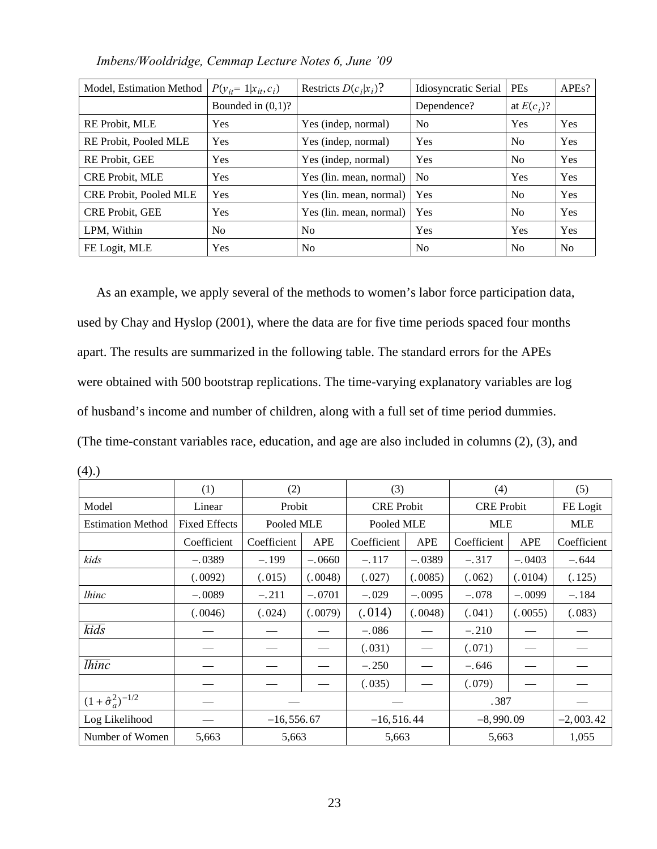| Model, Estimation Method      | $P(y_{it} = 1   x_{it}, c_i)$ | Restricts $D(c_i x_i)$ ? | Idiosyncratic Serial | PEs            | APEs?          |
|-------------------------------|-------------------------------|--------------------------|----------------------|----------------|----------------|
|                               | Bounded in $(0,1)$ ?          |                          | Dependence?          | at $E(c_i)$ ?  |                |
| RE Probit, MLE                | Yes                           | Yes (indep, normal)      | N <sub>0</sub>       | Yes            | Yes            |
| RE Probit, Pooled MLE         | <b>Yes</b>                    | Yes (indep, normal)      | Yes                  | N <sub>0</sub> | Yes            |
| RE Probit, GEE                | Yes                           | Yes (indep, normal)      | Yes                  | N <sub>0</sub> | Yes            |
| <b>CRE Probit, MLE</b>        | Yes                           | Yes (lin. mean, normal)  | N <sub>o</sub>       | Yes            | Yes            |
| <b>CRE Probit, Pooled MLE</b> | <b>Yes</b>                    | Yes (lin. mean, normal)  | <b>Yes</b>           | N <sub>0</sub> | Yes            |
| <b>CRE Probit, GEE</b>        | Yes                           | Yes (lin. mean, normal)  | Yes                  | N <sub>0</sub> | Yes            |
| LPM, Within                   | N <sub>0</sub>                | N <sub>0</sub>           | Yes                  | Yes            | Yes            |
| FE Logit, MLE                 | Yes                           | N <sub>0</sub>           | N <sub>0</sub>       | N <sub>0</sub> | N <sub>0</sub> |

*Imbens/Wooldridge, Cemmap Lecture Notes 6, June '09*

As an example, we apply several of the methods to women's labor force participation data, used by Chay and Hyslop (2001), where the data are for five time periods spaced four months apart. The results are summarized in the following table. The standard errors for the APEs were obtained with 500 bootstrap replications. The time-varying explanatory variables are log of husband's income and number of children, along with a full set of time period dummies. (The time-constant variables race, education, and age are also included in columns (2), (3), and

(4).)

|                                 | (1)                  | (2)          |            | (3)               |            | (4)               |            | (5)         |
|---------------------------------|----------------------|--------------|------------|-------------------|------------|-------------------|------------|-------------|
| Model                           | Linear               |              | Probit     | <b>CRE</b> Probit |            | <b>CRE</b> Probit |            | FE Logit    |
| <b>Estimation Method</b>        | <b>Fixed Effects</b> | Pooled MLE   |            | Pooled MLE        |            | <b>MLE</b>        |            | <b>MLE</b>  |
|                                 | Coefficient          | Coefficient  | <b>APE</b> | Coefficient       | <b>APE</b> | Coefficient       | <b>APE</b> | Coefficient |
| kids                            | $-.0389$             | $-.199$      | $-.0660$   | $-.117$           | $-.0389$   | $-.317$           | $-.0403$   | $-.644$     |
|                                 | (.0092)              | (.015)       | (.0048)    | (.027)            | (.0085)    | (.062)            | (.0104)    | (.125)      |
| <i>lhinc</i>                    | $-.0089$             | $-.211$      | $-.0701$   | $-.029$           | $-.0095$   | $-.078$           | $-.0099$   | $-.184$     |
|                                 | (.0046)              | (.024)       | (.0079)    | (.014)            | (.0048)    | (.041)            | (.0055)    | (.083)      |
| $\overline{kids}$               |                      |              |            | $-.086$           |            | $-.210$           |            |             |
|                                 |                      |              |            | (.031)            |            | (.071)            |            |             |
| <i>lhinc</i>                    |                      |              |            | $-.250$           |            | $-.646$           |            |             |
|                                 |                      |              |            | (.035)            |            | (.079)            |            |             |
| $(1 + \hat{\sigma}_a^2)^{-1/2}$ |                      |              |            |                   | .387       |                   |            |             |
| Log Likelihood                  |                      | $-16,556.67$ |            | $-16,516.44$      |            | $-8,990.09$       |            | $-2,003.42$ |
| Number of Women                 | 5,663                | 5,663        |            | 5,663             |            | 5,663             |            | 1,055       |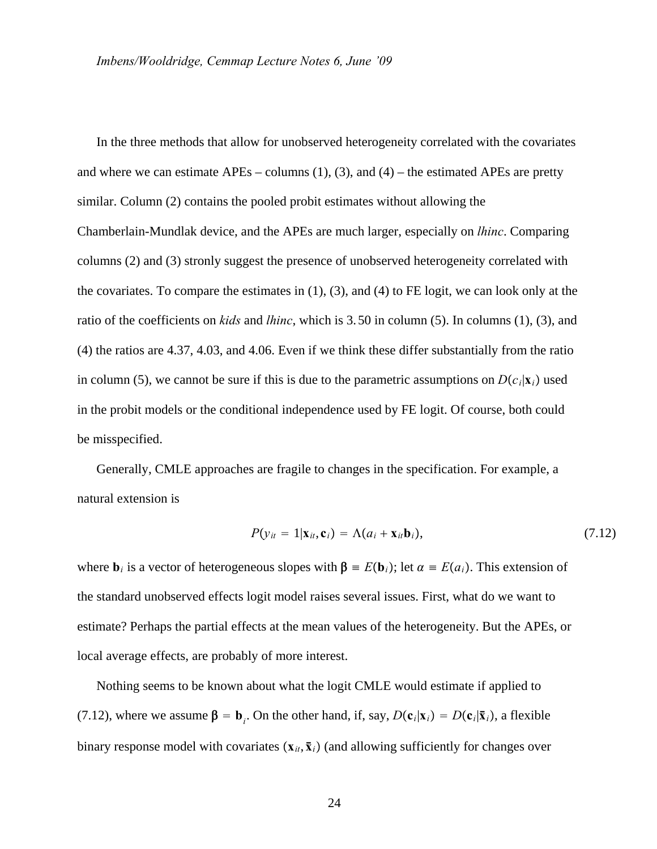In the three methods that allow for unobserved heterogeneity correlated with the covariates and where we can estimate  $APEs - \text{columns} (1), (3),$  and  $(4) -$  the estimated APEs are pretty similar. Column (2) contains the pooled probit estimates without allowing the Chamberlain-Mundlak device, and the APEs are much larger, especially on *lhinc*. Comparing columns (2) and (3) stronly suggest the presence of unobserved heterogeneity correlated with the covariates. To compare the estimates in (1), (3), and (4) to FE logit, we can look only at the ratio of the coefficients on *kids* and *lhinc*, which is 3.50 in column (5). In columns (1), (3), and (4) the ratios are 4.37, 4.03, and 4.06. Even if we think these differ substantially from the ratio in column (5), we cannot be sure if this is due to the parametric assumptions on  $D(c_i|\mathbf{x}_i)$  used in the probit models or the conditional independence used by FE logit. Of course, both could be misspecified.

Generally, CMLE approaches are fragile to changes in the specification. For example, a natural extension is

$$
P(y_{it} = 1 | \mathbf{x}_{it}, \mathbf{c}_i) = \Lambda(a_i + \mathbf{x}_{it} \mathbf{b}_i),
$$
\n(7.12)

where  $\mathbf{b}_i$  is a vector of heterogeneous slopes with  $\mathbf{\beta} = E(\mathbf{b}_i)$ ; let  $\alpha = E(a_i)$ . This extension of the standard unobserved effects logit model raises several issues. First, what do we want to estimate? Perhaps the partial effects at the mean values of the heterogeneity. But the APEs, or local average effects, are probably of more interest.

Nothing seems to be known about what the logit CMLE would estimate if applied to (7.12), where we assume  $\beta = \mathbf{b}_i$ . On the other hand, if, say,  $D(\mathbf{c}_i|\mathbf{x}_i) = D(\mathbf{c}_i|\bar{\mathbf{x}}_i)$ , a flexible binary response model with covariates  $(\mathbf{x}_{it}, \bar{\mathbf{x}}_i)$  (and allowing sufficiently for changes over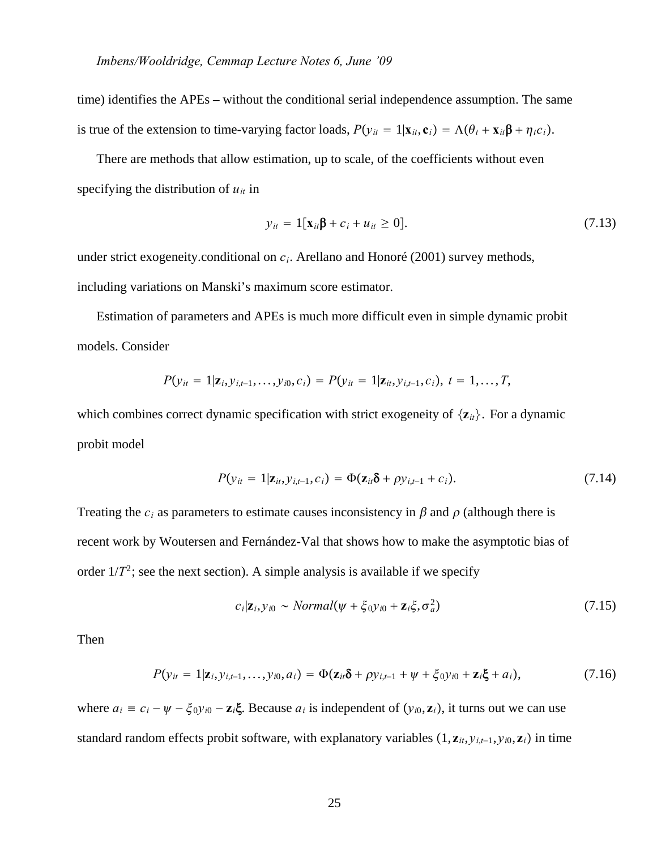time) identifies the APEs – without the conditional serial independence assumption. The same is true of the extension to time-varying factor loads,  $P(y_{it} = 1 | \mathbf{x}_{it}, \mathbf{c}_i) = \Lambda(\theta_t + \mathbf{x}_{it}\beta + \eta_t c_i).$ 

There are methods that allow estimation, up to scale, of the coefficients without even specifying the distribution of  $u_{it}$  in

$$
y_{it} = 1[\mathbf{x}_{it}\mathbf{\beta} + c_i + u_{it} \ge 0]. \tag{7.13}
$$

under strict exogeneity.conditional on *ci*. Arellano and Honoré (2001) survey methods, including variations on Manski's maximum score estimator.

Estimation of parameters and APEs is much more difficult even in simple dynamic probit models. Consider

$$
P(y_{it} = 1 | \mathbf{z}_i, y_{i,t-1}, \ldots, y_{i0}, c_i) = P(y_{it} = 1 | \mathbf{z}_{it}, y_{i,t-1}, c_i), t = 1, \ldots, T,
$$

which combines correct dynamic specification with strict exogeneity of  $\{z_{it}\}\$ . For a dynamic probit model

$$
P(y_{it} = 1 | \mathbf{z}_{it}, y_{i,t-1}, c_i) = \Phi(\mathbf{z}_{it} \delta + \rho y_{i,t-1} + c_i).
$$
\n(7.14)

Treating the  $c_i$  as parameters to estimate causes inconsistency in  $\beta$  and  $\rho$  (although there is recent work by Woutersen and Fernández-Val that shows how to make the asymptotic bias of order  $1/T^2$ ; see the next section). A simple analysis is available if we specify

$$
c_i|\mathbf{z}_i, y_{i0} \sim Normal(\psi + \xi_0 y_{i0} + \mathbf{z}_i \xi, \sigma_a^2)
$$
\n(7.15)

Then

$$
P(y_{it} = 1 | \mathbf{z}_i, y_{i,t-1}, \dots, y_{i0}, a_i) = \Phi(\mathbf{z}_{it} \delta + \rho y_{i,t-1} + \psi + \xi_0 y_{i0} + \mathbf{z}_i \xi + a_i), \tag{7.16}
$$

where  $a_i = c_i - \psi - \xi_0 y_{i0} - \mathbf{z}_i \xi$ . Because  $a_i$  is independent of  $(y_{i0}, \mathbf{z}_i)$ , it turns out we can use standard random effects probit software, with explanatory variables  $(1, \mathbf{z}_i, y_{i,t-1}, y_{i0}, \mathbf{z}_i)$  in time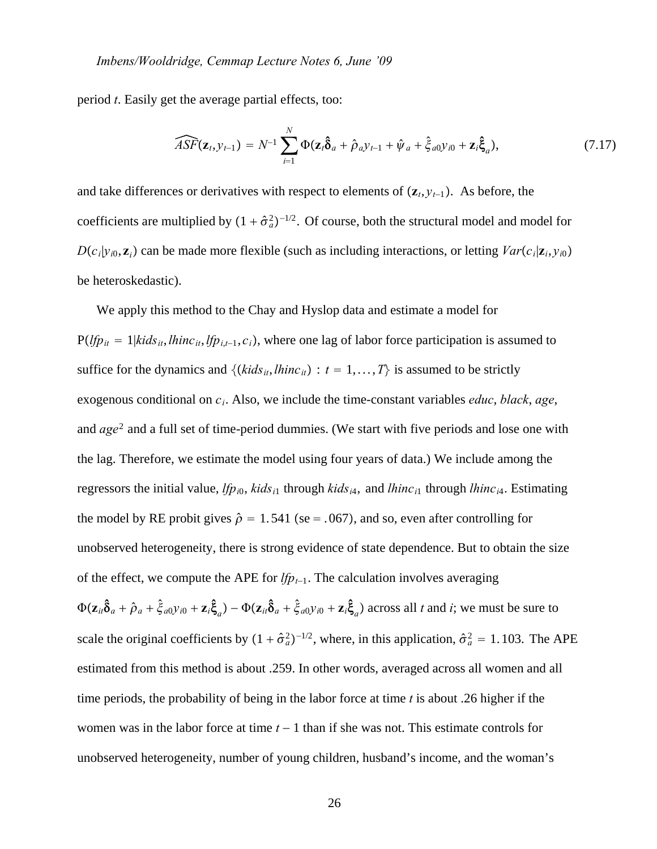period *t*. Easily get the average partial effects, too:

$$
\widehat{ASF}(\mathbf{z}_t, y_{t-1}) = N^{-1} \sum_{i=1}^N \Phi(\mathbf{z}_t \hat{\delta}_a + \hat{\rho}_a y_{t-1} + \hat{\psi}_a + \hat{\xi}_{a0} y_{i0} + \mathbf{z}_t \hat{\xi}_a), \qquad (7.17)
$$

and take differences or derivatives with respect to elements of  $(\mathbf{z}_t, y_{t-1})$ . As before, the coefficients are multiplied by  $(1 + \hat{\sigma}_a^2)^{-1/2}$ . Of course, both the structural model and model for  $D(c_i|y_{i0}, \mathbf{z}_i)$  can be made more flexible (such as including interactions, or letting *Var* $(c_i|\mathbf{z}_i, y_{i0})$ be heteroskedastic).

We apply this method to the Chay and Hyslop data and estimate a model for  $P(\text{If } p_{it} = 1 | \text{kids}_{it}, \text{Hint}_{it}, \text{If } p_{i,t-1}, c_i)$ , where one lag of labor force participation is assumed to suffice for the dynamics and  $\{(kids_{it}, lhinc_{it}) : t = 1, ..., T\}$  is assumed to be strictly exogenous conditional on *ci*. Also, we include the time-constant variables *educ*, *black*, *age*, and *age*<sup>2</sup> and a full set of time-period dummies. (We start with five periods and lose one with the lag. Therefore, we estimate the model using four years of data.) We include among the regressors the initial value, *lfp<sub>i0</sub>*, *kids*<sub>i1</sub> through *kids*<sub>i4</sub>, and *lhinc*<sub>i1</sub> through *lhinc*<sub>i4</sub>. Estimating the model by RE probit gives  $\hat{\rho} = 1.541$  (se = .067), and so, even after controlling for unobserved heterogeneity, there is strong evidence of state dependence. But to obtain the size of the effect, we compute the APE for  $lfp_{t-1}$ . The calculation involves averaging  $\Phi(\mathbf{z}_{it}\hat{\delta}_a + \hat{\rho}_a + \hat{\xi}_{a0}y_{i0} + \mathbf{z}_i\hat{\xi}_a) - \Phi(\mathbf{z}_{it}\hat{\delta}_a + \hat{\xi}_{a0}y_{i0} + \mathbf{z}_i\hat{\xi}_a)$  across all t and i; we must be sure to scale the original coefficients by  $(1 + \hat{\sigma}_a^2)^{-1/2}$ , where, in this application,  $\hat{\sigma}_a^2 = 1.103$ . The APE estimated from this method is about .259. In other words, averaged across all women and all time periods, the probability of being in the labor force at time *t* is about .26 higher if the women was in the labor force at time *t* − 1 than if she was not. This estimate controls for unobserved heterogeneity, number of young children, husband's income, and the woman's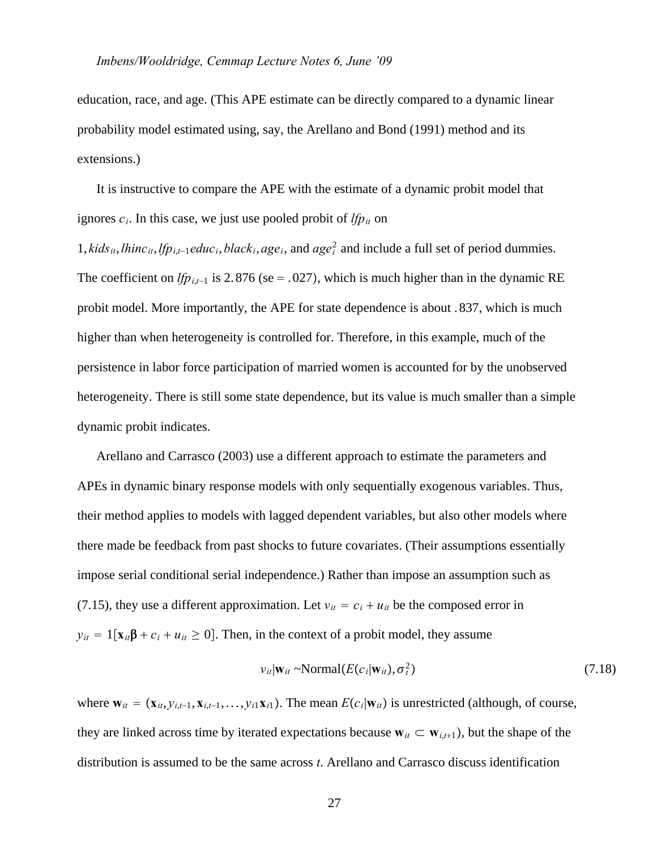education, race, and age. (This APE estimate can be directly compared to a dynamic linear probability model estimated using, say, the Arellano and Bond (1991) method and its extensions.)

It is instructive to compare the APE with the estimate of a dynamic probit model that ignores  $c_i$ . In this case, we just use pooled probit of  $lfp_{it}$  on

1, *kids<sub>it</sub>*, *lhinc<sub>it</sub>*, *lfp*<sub>*i*</sub>,*t*−1*educ<sub>i</sub>*, *black<sub>i</sub>*, *age<sub>i</sub>*, and *age*<sup>2</sup><sub>i</sub> and include a full set of period dummies. The coefficient on *lfp*<sub>*i*,*t*−1</sub> is 2.876 (se = .027), which is much higher than in the dynamic RE probit model. More importantly, the APE for state dependence is about .837, which is much higher than when heterogeneity is controlled for. Therefore, in this example, much of the persistence in labor force participation of married women is accounted for by the unobserved heterogeneity. There is still some state dependence, but its value is much smaller than a simple dynamic probit indicates.

Arellano and Carrasco (2003) use a different approach to estimate the parameters and APEs in dynamic binary response models with only sequentially exogenous variables. Thus, their method applies to models with lagged dependent variables, but also other models where there made be feedback from past shocks to future covariates. (Their assumptions essentially impose serial conditional serial independence.) Rather than impose an assumption such as (7.15), they use a different approximation. Let  $v_{it} = c_i + u_{it}$  be the composed error in  $y_{it} = 1[x_{it}\beta + c_i + u_{it} \ge 0]$ . Then, in the context of a probit model, they assume

$$
v_{it}|\mathbf{w}_{it} \sim \text{Normal}(E(c_i|\mathbf{w}_{it}), \sigma_t^2)
$$
\n(7.18)

where  $\mathbf{w}_{it} = (\mathbf{x}_{it}, y_{i,t-1}, \mathbf{x}_{i,t-1}, \dots, y_{i1} \mathbf{x}_{i1})$ . The mean  $E(c_i | \mathbf{w}_{it})$  is unrestricted (although, of course, they are linked across time by iterated expectations because  $w_{it} \subset w_{i,t+1}$ , but the shape of the distribution is assumed to be the same across *t*. Arellano and Carrasco discuss identification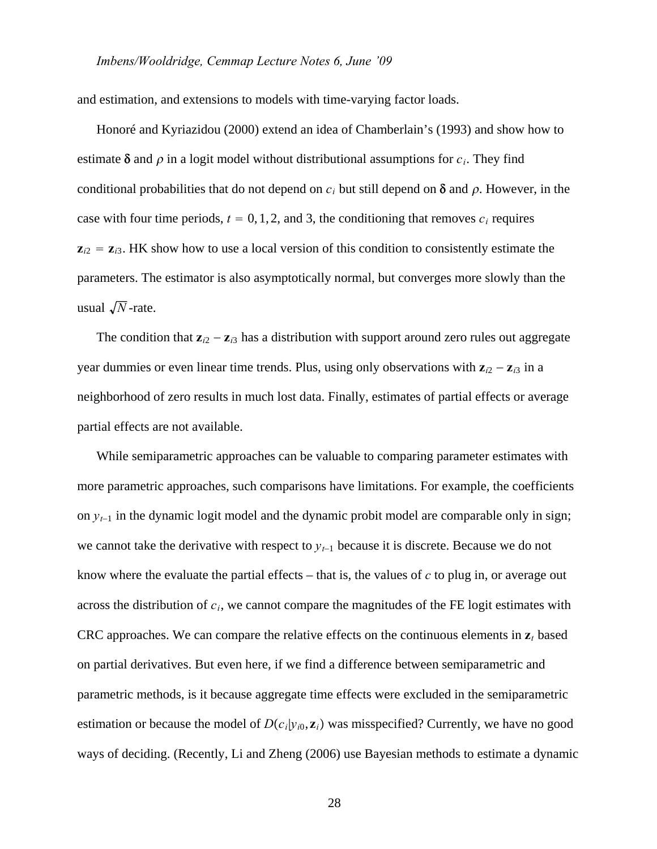and estimation, and extensions to models with time-varying factor loads.

Honoré and Kyriazidou (2000) extend an idea of Chamberlain's (1993) and show how to estimate  $\delta$  and  $\rho$  in a logit model without distributional assumptions for  $c_i$ . They find conditional probabilities that do not depend on  $c_i$  but still depend on  $\delta$  and  $\rho$ . However, in the case with four time periods,  $t = 0, 1, 2$ , and 3, the conditioning that removes  $c_i$  requires  $z_{i2} = z_{i3}$ . HK show how to use a local version of this condition to consistently estimate the parameters. The estimator is also asymptotically normal, but converges more slowly than the usual  $\sqrt{N}$ -rate.

The condition that  $z_{i2} - z_{i3}$  has a distribution with support around zero rules out aggregate year dummies or even linear time trends. Plus, using only observations with **z***i*<sup>2</sup> − **z***i*<sup>3</sup> in a neighborhood of zero results in much lost data. Finally, estimates of partial effects or average partial effects are not available.

While semiparametric approaches can be valuable to comparing parameter estimates with more parametric approaches, such comparisons have limitations. For example, the coefficients on *yt*−<sup>1</sup> in the dynamic logit model and the dynamic probit model are comparable only in sign; we cannot take the derivative with respect to *yt*−<sup>1</sup> because it is discrete. Because we do not know where the evaluate the partial effects – that is, the values of *c* to plug in, or average out across the distribution of *ci*, we cannot compare the magnitudes of the FE logit estimates with CRC approaches. We can compare the relative effects on the continuous elements in  $z_t$  based on partial derivatives. But even here, if we find a difference between semiparametric and parametric methods, is it because aggregate time effects were excluded in the semiparametric estimation or because the model of  $D(c_i|y_i, z_i)$  was misspecified? Currently, we have no good ways of deciding. (Recently, Li and Zheng (2006) use Bayesian methods to estimate a dynamic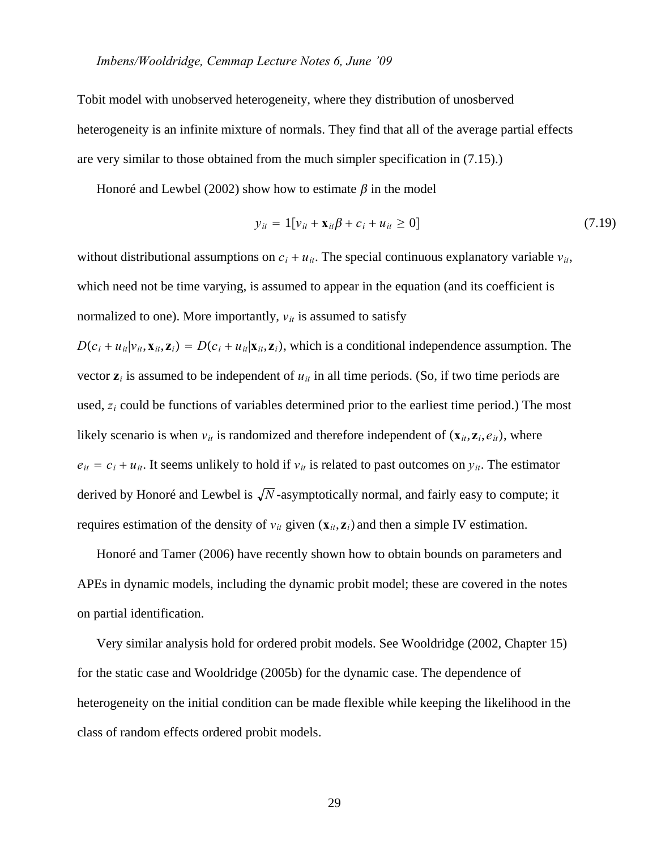Tobit model with unobserved heterogeneity, where they distribution of unosberved heterogeneity is an infinite mixture of normals. They find that all of the average partial effects are very similar to those obtained from the much simpler specification in (7.15).)

Honoré and Lewbel (2002) show how to estimate  $\beta$  in the model

$$
y_{it} = 1[v_{it} + \mathbf{x}_{it}\beta + c_i + u_{it} \ge 0]
$$
 (7.19)

without distributional assumptions on  $c_i + u_{it}$ . The special continuous explanatory variable  $v_{it}$ , which need not be time varying, is assumed to appear in the equation (and its coefficient is normalized to one). More importantly,  $v_{it}$  is assumed to satisfy

 $D(c_i + u_{it} | v_{it}, \mathbf{x}_{it}, \mathbf{z}_i) = D(c_i + u_{it} | \mathbf{x}_{it}, \mathbf{z}_i)$ , which is a conditional independence assumption. The vector  $z_i$  is assumed to be independent of  $u_{it}$  in all time periods. (So, if two time periods are used, *zi* could be functions of variables determined prior to the earliest time period.) The most likely scenario is when  $v_{it}$  is randomized and therefore independent of  $(\mathbf{x}_{it}, \mathbf{z}_i, e_{it})$ , where  $e_{it} = c_i + u_{it}$ . It seems unlikely to hold if  $v_{it}$  is related to past outcomes on  $y_{it}$ . The estimator derived by Honoré and Lewbel is  $\sqrt{N}$ -asymptotically normal, and fairly easy to compute; it requires estimation of the density of  $v_{it}$  given  $(\mathbf{x}_{it}, \mathbf{z}_i)$  and then a simple IV estimation.

Honoré and Tamer (2006) have recently shown how to obtain bounds on parameters and APEs in dynamic models, including the dynamic probit model; these are covered in the notes on partial identification.

Very similar analysis hold for ordered probit models. See Wooldridge (2002, Chapter 15) for the static case and Wooldridge (2005b) for the dynamic case. The dependence of heterogeneity on the initial condition can be made flexible while keeping the likelihood in the class of random effects ordered probit models.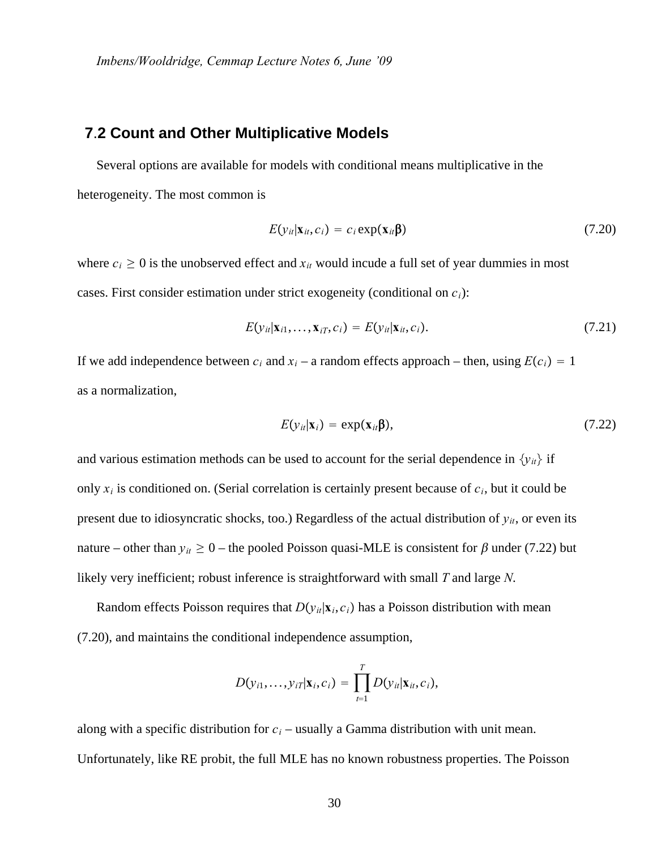#### **7**.**2 Count and Other Multiplicative Models**

Several options are available for models with conditional means multiplicative in the heterogeneity. The most common is

$$
E(y_{it}|\mathbf{x}_{it},c_i) = c_i \exp(\mathbf{x}_{it}\mathbf{\beta})
$$
\n(7.20)

where  $c_i \geq 0$  is the unobserved effect and  $x_{it}$  would incude a full set of year dummies in most cases. First consider estimation under strict exogeneity (conditional on *ci*):

$$
E(\mathbf{y}_{it}|\mathbf{x}_{i1},\ldots,\mathbf{x}_{iT},c_i) = E(\mathbf{y}_{it}|\mathbf{x}_{it},c_i).
$$
\n(7.21)

If we add independence between  $c_i$  and  $x_i$  – a random effects approach – then, using  $E(c_i) = 1$ as a normalization,

$$
E(y_{it}|\mathbf{x}_i) = \exp(\mathbf{x}_{it}\mathbf{\beta}),\tag{7.22}
$$

and various estimation methods can be used to account for the serial dependence in  $\{y_{it}\}\$ if only *xi* is conditioned on. (Serial correlation is certainly present because of *ci*, but it could be present due to idiosyncratic shocks, too.) Regardless of the actual distribution of  $y_{it}$ , or even its nature – other than  $y_{it} \ge 0$  – the pooled Poisson quasi-MLE is consistent for  $\beta$  under (7.22) but likely very inefficient; robust inference is straightforward with small *T* and large *N*.

Random effects Poisson requires that  $D(y_i|\mathbf{x}_i, c_i)$  has a Poisson distribution with mean (7.20), and maintains the conditional independence assumption,

$$
D(y_{i1},\ldots,y_{iT}|\mathbf{x}_i,c_i)=\prod_{t=1}^T D(y_{it}|\mathbf{x}_{it},c_i),
$$

along with a specific distribution for  $c_i$  – usually a Gamma distribution with unit mean. Unfortunately, like RE probit, the full MLE has no known robustness properties. The Poisson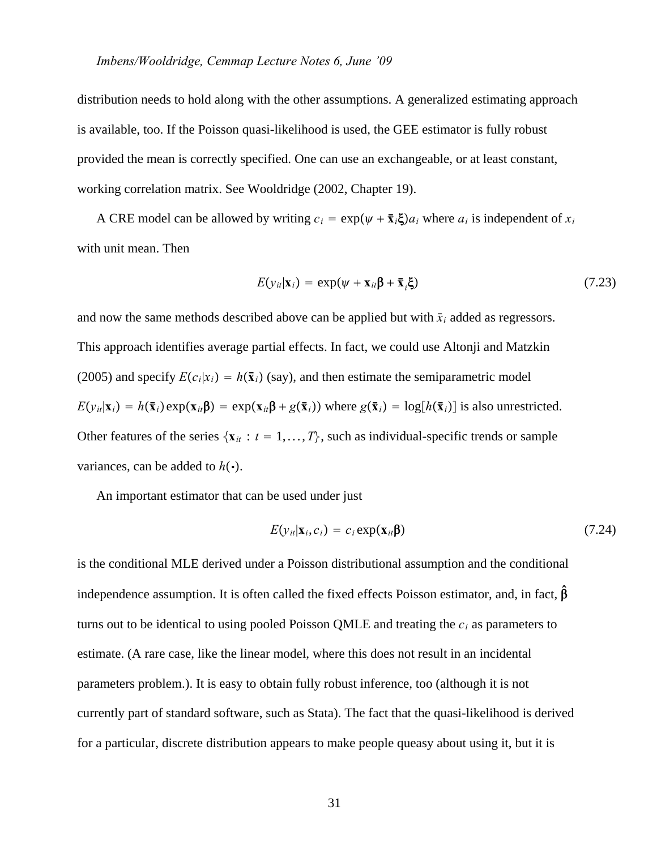distribution needs to hold along with the other assumptions. A generalized estimating approach is available, too. If the Poisson quasi-likelihood is used, the GEE estimator is fully robust provided the mean is correctly specified. One can use an exchangeable, or at least constant, working correlation matrix. See Wooldridge (2002, Chapter 19).

A CRE model can be allowed by writing  $c_i = \exp((\psi + \bar{x}_i \xi)a_i)$  where  $a_i$  is independent of  $x_i$ with unit mean. Then

$$
E(y_{it}|\mathbf{x}_i) = \exp(\psi + \mathbf{x}_{it}\mathbf{\beta} + \mathbf{\bar{x}}_i\mathbf{\xi})
$$
\n(7.23)

and now the same methods described above can be applied but with  $\bar{x}_i$  added as regressors. This approach identifies average partial effects. In fact, we could use Altonji and Matzkin (2005) and specify  $E(c_i|x_i) = h(\bar{x}_i)$  (say), and then estimate the semiparametric model  $E(y_{ii}|\mathbf{x}_i) = h(\mathbf{\bar{x}}_i) \exp(\mathbf{x}_{ii} \boldsymbol{\beta}) = \exp(\mathbf{x}_{ii} \boldsymbol{\beta} + g(\mathbf{\bar{x}}_i))$  where  $g(\mathbf{\bar{x}}_i) = \log[h(\mathbf{\bar{x}}_i)]$  is also unrestricted. Other features of the series  $\{x_i : t = 1, ..., T\}$ , such as individual-specific trends or sample variances, can be added to  $h(\cdot)$ .

An important estimator that can be used under just

$$
E(y_{it}|\mathbf{x}_i,c_i) = c_i \exp(\mathbf{x}_{it}\mathbf{\beta})
$$
\n(7.24)

is the conditional MLE derived under a Poisson distributional assumption and the conditional independence assumption. It is often called the fixed effects Poisson estimator, and, in fact,  $\hat{\beta}$ turns out to be identical to using pooled Poisson QMLE and treating the  $c_i$  as parameters to estimate. (A rare case, like the linear model, where this does not result in an incidental parameters problem.). It is easy to obtain fully robust inference, too (although it is not currently part of standard software, such as Stata). The fact that the quasi-likelihood is derived for a particular, discrete distribution appears to make people queasy about using it, but it is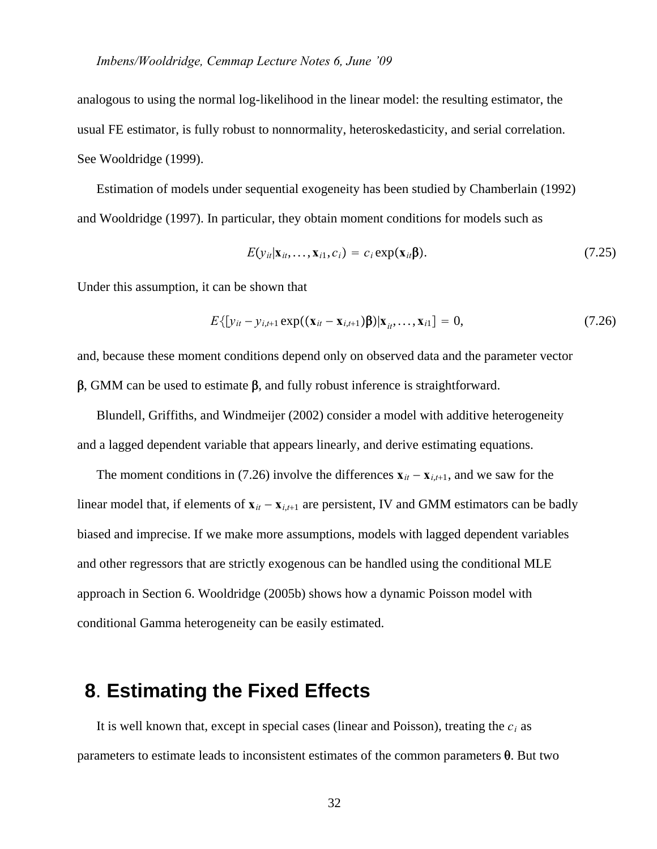analogous to using the normal log-likelihood in the linear model: the resulting estimator, the usual FE estimator, is fully robust to nonnormality, heteroskedasticity, and serial correlation. See Wooldridge (1999).

Estimation of models under sequential exogeneity has been studied by Chamberlain (1992) and Wooldridge (1997). In particular, they obtain moment conditions for models such as

$$
E(y_{it}|\mathbf{x}_{it},\ldots,\mathbf{x}_{i1},c_i) = c_i \exp(\mathbf{x}_{it}\mathbf{\beta}).
$$
\n(7.25)

Under this assumption, it can be shown that

$$
E\{[y_{it} - y_{i,t+1} \exp((\mathbf{x}_{it} - \mathbf{x}_{i,t+1})\beta)|\mathbf{x}_{it}, ..., \mathbf{x}_{i}]\} = 0, \qquad (7.26)
$$

and, because these moment conditions depend only on observed data and the parameter vector  $\beta$ , GMM can be used to estimate  $\beta$ , and fully robust inference is straightforward.

Blundell, Griffiths, and Windmeijer (2002) consider a model with additive heterogeneity and a lagged dependent variable that appears linearly, and derive estimating equations.

The moment conditions in (7.26) involve the differences  $\mathbf{x}_{it} - \mathbf{x}_{i,t+1}$ , and we saw for the linear model that, if elements of  $\mathbf{x}_{it} - \mathbf{x}_{i,t+1}$  are persistent, IV and GMM estimators can be badly biased and imprecise. If we make more assumptions, models with lagged dependent variables and other regressors that are strictly exogenous can be handled using the conditional MLE approach in Section 6. Wooldridge (2005b) shows how a dynamic Poisson model with conditional Gamma heterogeneity can be easily estimated.

# **8**. **Estimating the Fixed Effects**

It is well known that, except in special cases (linear and Poisson), treating the  $c_i$  as parameters to estimate leads to inconsistent estimates of the common parameters  $\theta$ . But two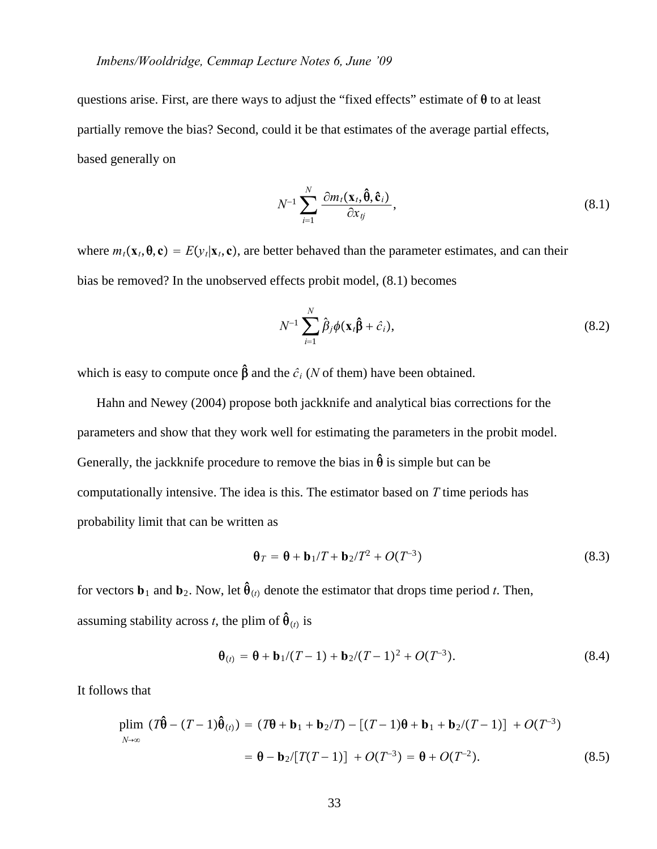questions arise. First, are there ways to adjust the "fixed effects" estimate of  $\theta$  to at least partially remove the bias? Second, could it be that estimates of the average partial effects, based generally on

$$
N^{-1} \sum_{i=1}^{N} \frac{\partial m_i(\mathbf{x}_t, \hat{\boldsymbol{\theta}}, \hat{\mathbf{c}}_i)}{\partial x_{ij}},
$$
\n(8.1)

where  $m_t$ ( $\mathbf{x}_t$ , $\mathbf{\theta}$ , $\mathbf{c}$ ) =  $E(y_t|\mathbf{x}_t, \mathbf{c})$ , are better behaved than the parameter estimates, and can their bias be removed? In the unobserved effects probit model, (8.1) becomes

$$
N^{-1} \sum_{i=1}^{N} \hat{\beta}_j \phi(\mathbf{x}_i \hat{\boldsymbol{\beta}} + \hat{c}_i), \qquad (8.2)
$$

which is easy to compute once  $\hat{\beta}$  and the  $\hat{c}_i$  (*N* of them) have been obtained.

Hahn and Newey (2004) propose both jackknife and analytical bias corrections for the parameters and show that they work well for estimating the parameters in the probit model. Generally, the jackknife procedure to remove the bias in  $\hat{\theta}$  is simple but can be computationally intensive. The idea is this. The estimator based on *T* time periods has probability limit that can be written as

$$
\mathbf{\theta}_T = \mathbf{\theta} + \mathbf{b}_1/T + \mathbf{b}_2/T^2 + O(T^{-3})
$$
\n(8.3)

for vectors  $\mathbf{b}_1$  and  $\mathbf{b}_2$ . Now, let  $\hat{\boldsymbol{\theta}}_{(t)}$  denote the estimator that drops time period *t*. Then, assuming stability across *t*, the plim of  $\hat{\theta}_{(t)}$  is

$$
\mathbf{\theta}_{(t)} = \mathbf{\theta} + \mathbf{b}_1 / (T - 1) + \mathbf{b}_2 / (T - 1)^2 + O(T^{-3}).
$$
\n(8.4)

It follows that

$$
\begin{aligned} \text{plim} \, \left( T \hat{\boldsymbol{\theta}} - (T - 1) \hat{\boldsymbol{\theta}}_{(t)} \right) &= \left( T \boldsymbol{\theta} + \mathbf{b}_1 + \mathbf{b}_2 / T \right) - \left[ (T - 1) \boldsymbol{\theta} + \mathbf{b}_1 + \mathbf{b}_2 / (T - 1) \right] + O(T^{-3}) \\ &= \boldsymbol{\theta} - \mathbf{b}_2 / \left[ T (T - 1) \right] + O(T^{-3}) = \boldsymbol{\theta} + O(T^{-2}). \end{aligned} \tag{8.5}
$$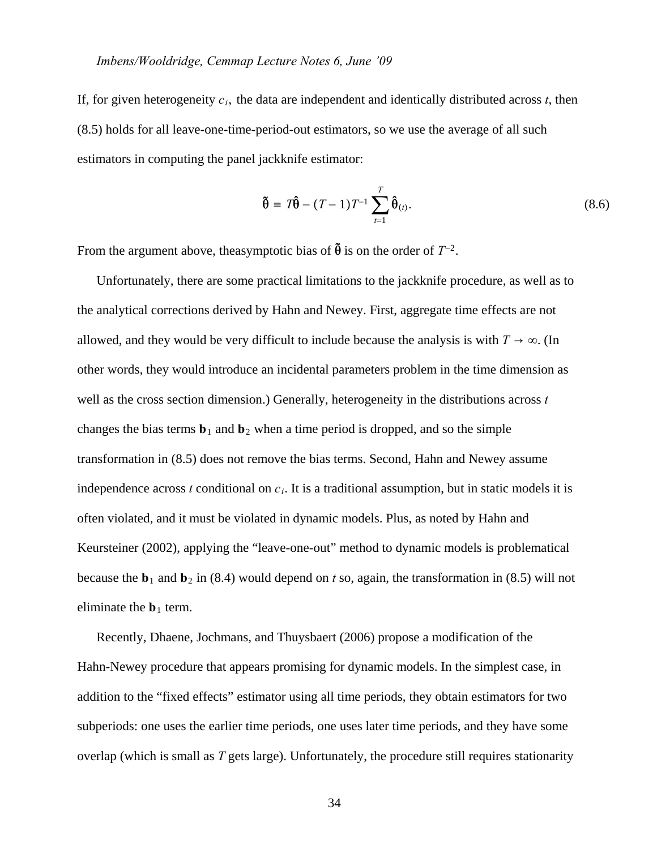If, for given heterogeneity  $c_i$ , the data are independent and identically distributed across  $t$ , then (8.5) holds for all leave-one-time-period-out estimators, so we use the average of all such estimators in computing the panel jackknife estimator:

$$
\tilde{\boldsymbol{\theta}} = T\hat{\boldsymbol{\theta}} - (T - 1)T^{-1} \sum_{t=1}^{T} \hat{\boldsymbol{\theta}}_{(t)}.
$$
\n(8.6)

From the argument above, theasymptotic bias of  $\tilde{\theta}$  is on the order of  $T^{-2}$ .

Unfortunately, there are some practical limitations to the jackknife procedure, as well as to the analytical corrections derived by Hahn and Newey. First, aggregate time effects are not allowed, and they would be very difficult to include because the analysis is with  $T \to \infty$ . (In other words, they would introduce an incidental parameters problem in the time dimension as well as the cross section dimension.) Generally, heterogeneity in the distributions across *t* changes the bias terms  $\mathbf{b}_1$  and  $\mathbf{b}_2$  when a time period is dropped, and so the simple transformation in (8.5) does not remove the bias terms. Second, Hahn and Newey assume independence across *t* conditional on  $c_i$ . It is a traditional assumption, but in static models it is often violated, and it must be violated in dynamic models. Plus, as noted by Hahn and Keursteiner (2002), applying the "leave-one-out" method to dynamic models is problematical because the  **and**  $**b**<sub>2</sub>$  **in (8.4) would depend on** *t* **so, again, the transformation in (8.5) will not** eliminate the  **term.** 

Recently, Dhaene, Jochmans, and Thuysbaert (2006) propose a modification of the Hahn-Newey procedure that appears promising for dynamic models. In the simplest case, in addition to the "fixed effects" estimator using all time periods, they obtain estimators for two subperiods: one uses the earlier time periods, one uses later time periods, and they have some overlap (which is small as *T* gets large). Unfortunately, the procedure still requires stationarity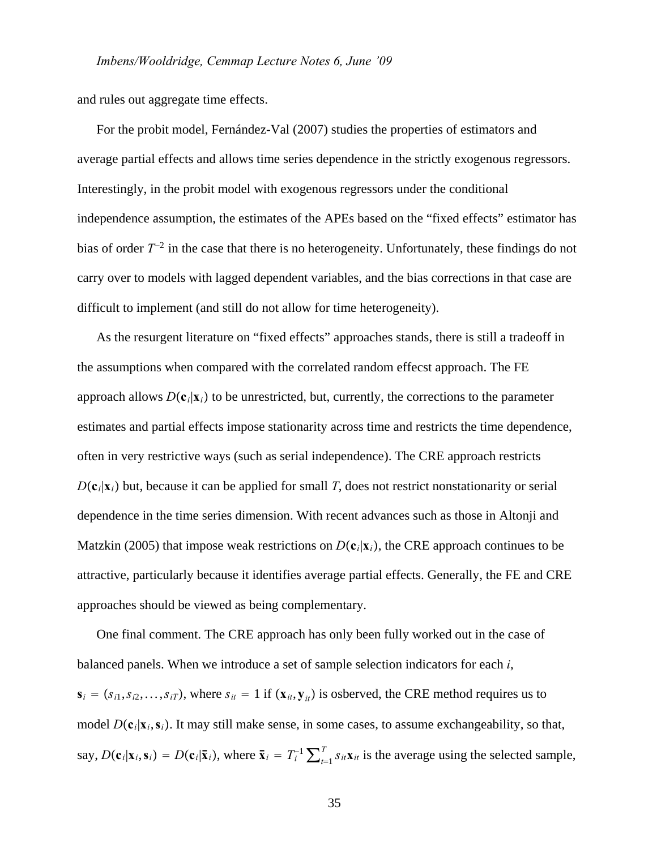and rules out aggregate time effects.

For the probit model, Fernández-Val (2007) studies the properties of estimators and average partial effects and allows time series dependence in the strictly exogenous regressors. Interestingly, in the probit model with exogenous regressors under the conditional independence assumption, the estimates of the APEs based on the "fixed effects" estimator has bias of order *T*<sup>−</sup><sup>2</sup> in the case that there is no heterogeneity. Unfortunately, these findings do not carry over to models with lagged dependent variables, and the bias corrections in that case are difficult to implement (and still do not allow for time heterogeneity).

As the resurgent literature on "fixed effects" approaches stands, there is still a tradeoff in the assumptions when compared with the correlated random effecst approach. The FE approach allows  $D(c_i|\mathbf{x}_i)$  to be unrestricted, but, currently, the corrections to the parameter estimates and partial effects impose stationarity across time and restricts the time dependence, often in very restrictive ways (such as serial independence). The CRE approach restricts  $D(c_i|\mathbf{x}_i)$  but, because it can be applied for small *T*, does not restrict nonstationarity or serial dependence in the time series dimension. With recent advances such as those in Altonji and Matzkin (2005) that impose weak restrictions on  $D(c_i|x_i)$ , the CRE approach continues to be attractive, particularly because it identifies average partial effects. Generally, the FE and CRE approaches should be viewed as being complementary.

One final comment. The CRE approach has only been fully worked out in the case of balanced panels. When we introduce a set of sample selection indicators for each *i*,  $\mathbf{s}_i = (s_{i1}, s_{i2}, \dots, s_{iT})$ , where  $s_{it} = 1$  if  $(\mathbf{x}_{it}, \mathbf{y}_{it})$  is osberved, the CRE method requires us to model  $D(c_i|\mathbf{x}_i, \mathbf{s}_i)$ . It may still make sense, in some cases, to assume exchangeability, so that, say,  $D(\mathbf{c}_i|\mathbf{x}_i,\mathbf{s}_i) = D(\mathbf{c}_i|\bar{\mathbf{x}}_i)$ , where  $\bar{\mathbf{x}}_i = T_i^{-1} \sum_{t=1}^T s_{it} \mathbf{x}_{it}$  is the average using the selected sample,

35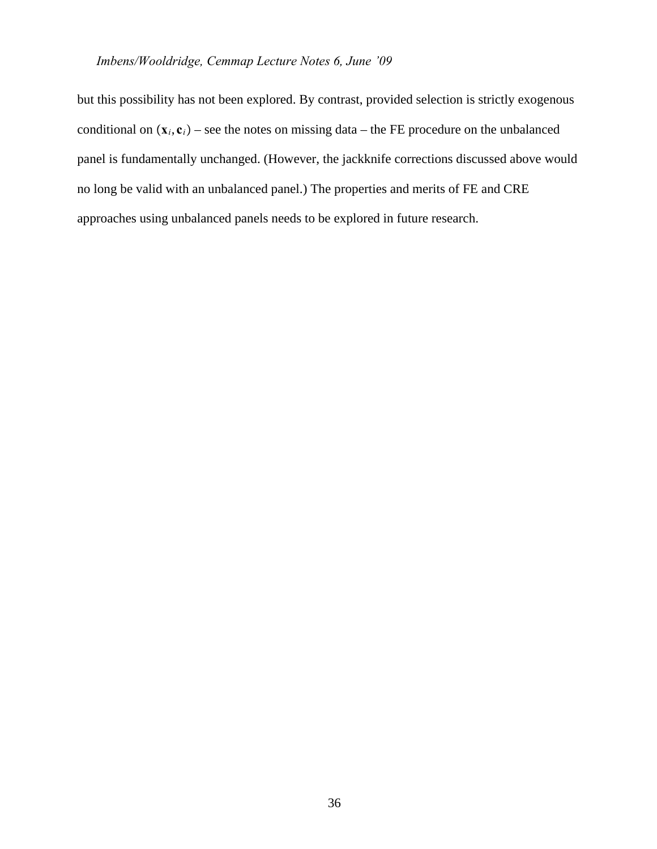but this possibility has not been explored. By contrast, provided selection is strictly exogenous conditional on  $(\mathbf{x}_i, \mathbf{c}_i)$  – see the notes on missing data – the FE procedure on the unbalanced panel is fundamentally unchanged. (However, the jackknife corrections discussed above would no long be valid with an unbalanced panel.) The properties and merits of FE and CRE approaches using unbalanced panels needs to be explored in future research.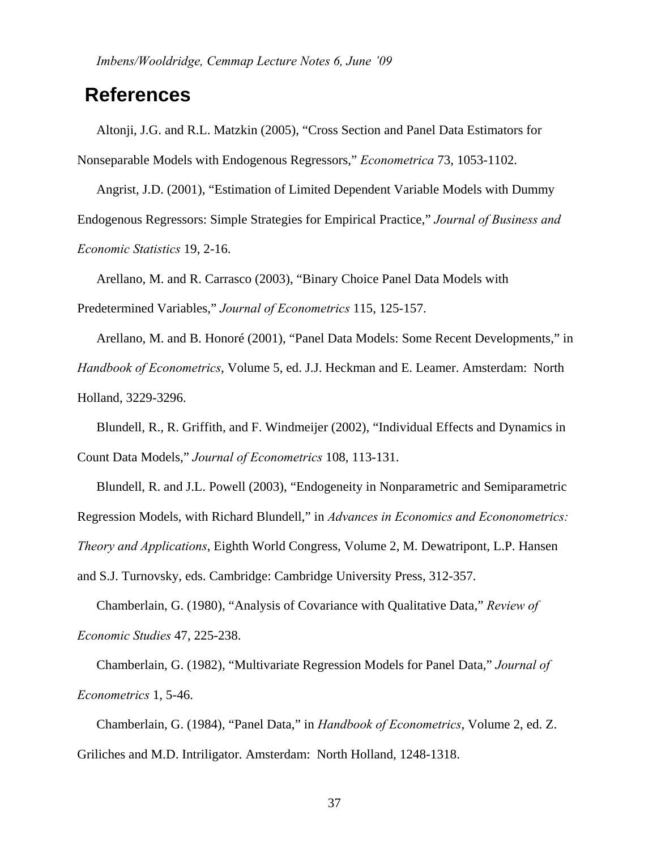*Imbens/Wooldridge, Cemmap Lecture Notes 6, June '09*

# **References**

Altonji, J.G. and R.L. Matzkin (2005), "Cross Section and Panel Data Estimators for Nonseparable Models with Endogenous Regressors," *Econometrica* 73, 1053-1102.

Angrist, J.D. (2001), "Estimation of Limited Dependent Variable Models with Dummy Endogenous Regressors: Simple Strategies for Empirical Practice," *Journal of Business and Economic Statistics* 19, 2-16.

Arellano, M. and R. Carrasco (2003), "Binary Choice Panel Data Models with

Predetermined Variables," *Journal of Econometrics* 115, 125-157.

Arellano, M. and B. Honoré (2001), "Panel Data Models: Some Recent Developments," in *Handbook of Econometrics*, Volume 5, ed. J.J. Heckman and E. Leamer. Amsterdam: North Holland, 3229-3296.

Blundell, R., R. Griffith, and F. Windmeijer (2002), "Individual Effects and Dynamics in Count Data Models," *Journal of Econometrics* 108, 113-131.

Blundell, R. and J.L. Powell (2003), "Endogeneity in Nonparametric and Semiparametric Regression Models, with Richard Blundell," in *Advances in Economics and Econonometrics: Theory and Applications*, Eighth World Congress, Volume 2, M. Dewatripont, L.P. Hansen

and S.J. Turnovsky, eds. Cambridge: Cambridge University Press, 312-357.

Chamberlain, G. (1980), "Analysis of Covariance with Qualitative Data," *Review of Economic Studies* 47, 225-238.

Chamberlain, G. (1982), "Multivariate Regression Models for Panel Data," *Journal of Econometrics* 1, 5-46.

Chamberlain, G. (1984), "Panel Data," in *Handbook of Econometrics*, Volume 2, ed. Z. Griliches and M.D. Intriligator. Amsterdam: North Holland, 1248-1318.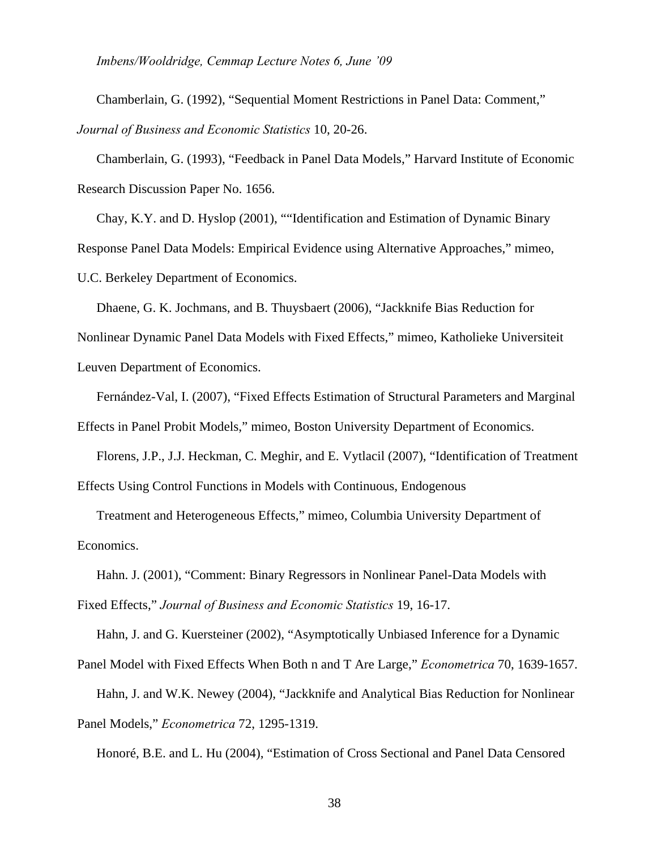*Imbens/Wooldridge, Cemmap Lecture Notes 6, June '09*

Chamberlain, G. (1992), "Sequential Moment Restrictions in Panel Data: Comment," *Journal of Business and Economic Statistics* 10, 20-26.

Chamberlain, G. (1993), "Feedback in Panel Data Models," Harvard Institute of Economic Research Discussion Paper No. 1656.

Chay, K.Y. and D. Hyslop (2001), ""Identification and Estimation of Dynamic Binary Response Panel Data Models: Empirical Evidence using Alternative Approaches," mimeo, U.C. Berkeley Department of Economics.

Dhaene, G. K. Jochmans, and B. Thuysbaert (2006), "Jackknife Bias Reduction for Nonlinear Dynamic Panel Data Models with Fixed Effects," mimeo, Katholieke Universiteit Leuven Department of Economics.

Fernández-Val, I. (2007), "Fixed Effects Estimation of Structural Parameters and Marginal Effects in Panel Probit Models," mimeo, Boston University Department of Economics.

Florens, J.P., J.J. Heckman, C. Meghir, and E. Vytlacil (2007), "Identification of Treatment Effects Using Control Functions in Models with Continuous, Endogenous

Treatment and Heterogeneous Effects," mimeo, Columbia University Department of Economics.

Hahn. J. (2001), "Comment: Binary Regressors in Nonlinear Panel-Data Models with Fixed Effects," *Journal of Business and Economic Statistics* 19, 16-17.

Hahn, J. and G. Kuersteiner (2002), "Asymptotically Unbiased Inference for a Dynamic

Panel Model with Fixed Effects When Both n and T Are Large," *Econometrica* 70, 1639-1657. Hahn, J. and W.K. Newey (2004), "Jackknife and Analytical Bias Reduction for Nonlinear

Panel Models," *Econometrica* 72, 1295-1319.

Honoré, B.E. and L. Hu (2004), "Estimation of Cross Sectional and Panel Data Censored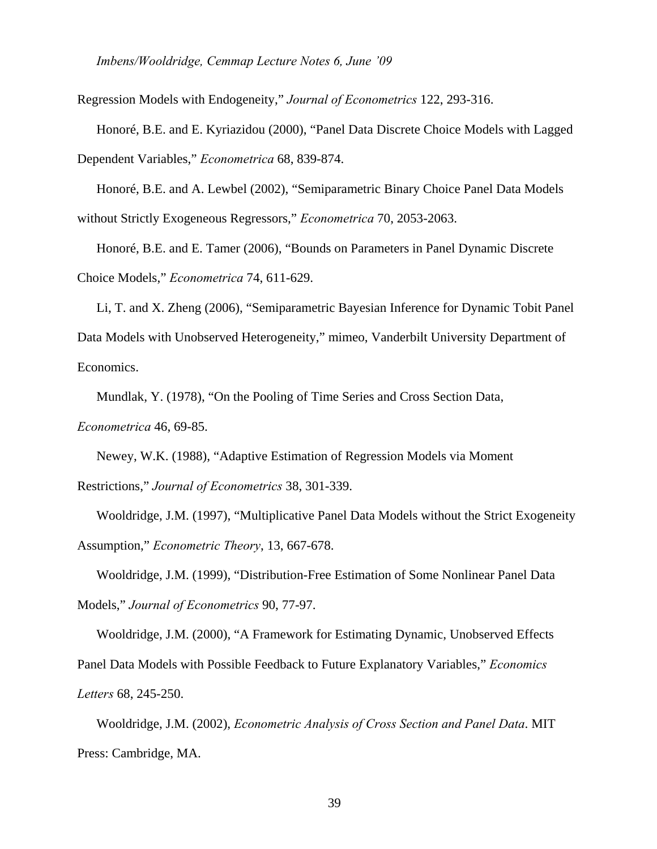Regression Models with Endogeneity," *Journal of Econometrics* 122, 293-316.

Honoré, B.E. and E. Kyriazidou (2000), "Panel Data Discrete Choice Models with Lagged Dependent Variables," *Econometrica* 68, 839-874.

Honoré, B.E. and A. Lewbel (2002), "Semiparametric Binary Choice Panel Data Models without Strictly Exogeneous Regressors," *Econometrica* 70, 2053-2063.

Honoré, B.E. and E. Tamer (2006), "Bounds on Parameters in Panel Dynamic Discrete Choice Models," *Econometrica* 74, 611-629.

Li, T. and X. Zheng (2006), "Semiparametric Bayesian Inference for Dynamic Tobit Panel Data Models with Unobserved Heterogeneity," mimeo, Vanderbilt University Department of Economics.

Mundlak, Y. (1978), "On the Pooling of Time Series and Cross Section Data,

*Econometrica* 46, 69-85.

Newey, W.K. (1988), "Adaptive Estimation of Regression Models via Moment

Restrictions," *Journal of Econometrics* 38, 301-339.

Wooldridge, J.M. (1997), "Multiplicative Panel Data Models without the Strict Exogeneity Assumption," *Econometric Theory*, 13, 667-678.

Wooldridge, J.M. (1999), "Distribution-Free Estimation of Some Nonlinear Panel Data Models," *Journal of Econometrics* 90, 77-97.

Wooldridge, J.M. (2000), "A Framework for Estimating Dynamic, Unobserved Effects Panel Data Models with Possible Feedback to Future Explanatory Variables," *Economics Letters* 68, 245-250.

Wooldridge, J.M. (2002), *Econometric Analysis of Cross Section and Panel Data*. MIT Press: Cambridge, MA.